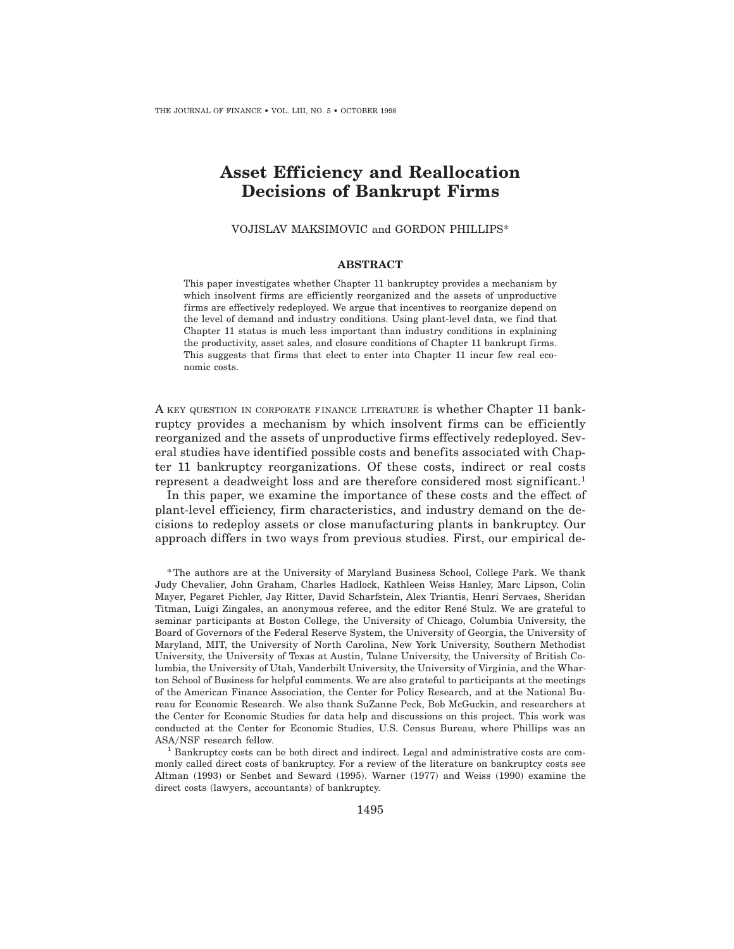# **Asset Efficiency and Reallocation Decisions of Bankrupt Firms**

# VOJISLAV MAKSIMOVIC and GORDON PHILLIPS\*

### **ABSTRACT**

This paper investigates whether Chapter 11 bankruptcy provides a mechanism by which insolvent firms are efficiently reorganized and the assets of unproductive firms are effectively redeployed. We argue that incentives to reorganize depend on the level of demand and industry conditions. Using plant-level data, we find that Chapter 11 status is much less important than industry conditions in explaining the productivity, asset sales, and closure conditions of Chapter 11 bankrupt firms. This suggests that firms that elect to enter into Chapter 11 incur few real economic costs.

A KEY QUESTION IN CORPORATE FINANCE LITERATURE is whether Chapter 11 bankruptcy provides a mechanism by which insolvent firms can be efficiently reorganized and the assets of unproductive firms effectively redeployed. Several studies have identified possible costs and benefits associated with Chapter 11 bankruptcy reorganizations. Of these costs, indirect or real costs represent a deadweight loss and are therefore considered most significant.1

In this paper, we examine the importance of these costs and the effect of plant-level efficiency, firm characteristics, and industry demand on the decisions to redeploy assets or close manufacturing plants in bankruptcy. Our approach differs in two ways from previous studies. First, our empirical de-

\* The authors are at the University of Maryland Business School, College Park. We thank Judy Chevalier, John Graham, Charles Hadlock, Kathleen Weiss Hanley, Marc Lipson, Colin Mayer, Pegaret Pichler, Jay Ritter, David Scharfstein, Alex Triantis, Henri Servaes, Sheridan Titman, Luigi Zingales, an anonymous referee, and the editor René Stulz. We are grateful to seminar participants at Boston College, the University of Chicago, Columbia University, the Board of Governors of the Federal Reserve System, the University of Georgia, the University of Maryland, MIT, the University of North Carolina, New York University, Southern Methodist University, the University of Texas at Austin, Tulane University, the University of British Columbia, the University of Utah, Vanderbilt University, the University of Virginia, and the Wharton School of Business for helpful comments. We are also grateful to participants at the meetings of the American Finance Association, the Center for Policy Research, and at the National Bureau for Economic Research. We also thank SuZanne Peck, Bob McGuckin, and researchers at the Center for Economic Studies for data help and discussions on this project. This work was conducted at the Center for Economic Studies, U.S. Census Bureau, where Phillips was an ASA/NSF research fellow.

<sup>1</sup> Bankruptcy costs can be both direct and indirect. Legal and administrative costs are commonly called direct costs of bankruptcy. For a review of the literature on bankruptcy costs see Altman  $(1993)$  or Senbet and Seward  $(1995)$ . Warner  $(1977)$  and Weiss  $(1990)$  examine the direct costs (lawyers, accountants) of bankruptcy.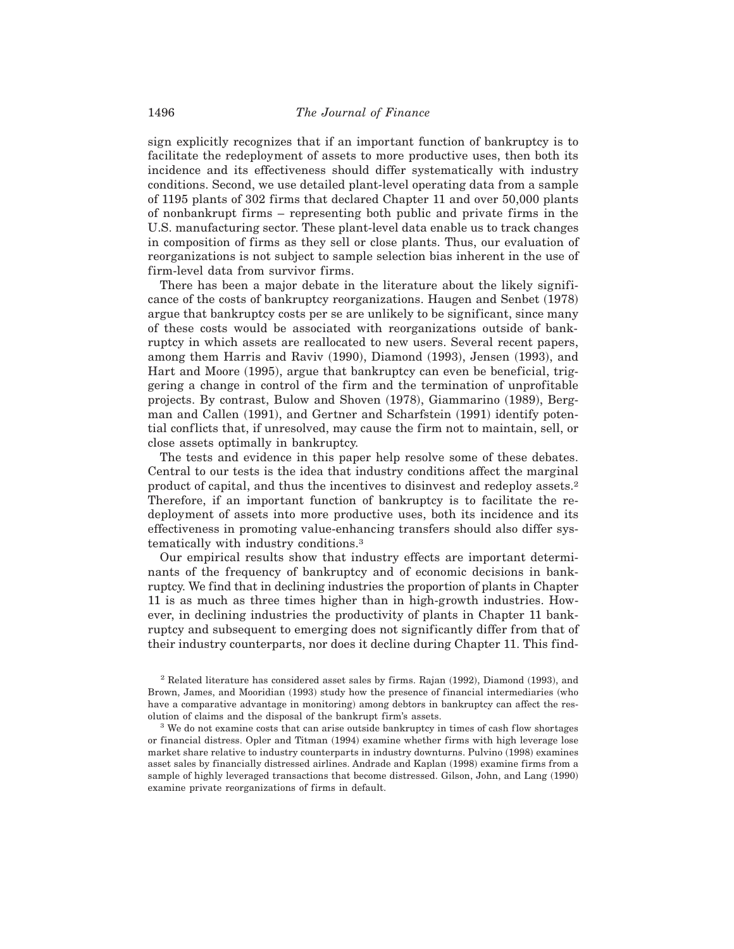sign explicitly recognizes that if an important function of bankruptcy is to facilitate the redeployment of assets to more productive uses, then both its incidence and its effectiveness should differ systematically with industry conditions. Second, we use detailed plant-level operating data from a sample of 1195 plants of 302 firms that declared Chapter 11 and over 50,000 plants of nonbankrupt firms – representing both public and private firms in the U.S. manufacturing sector. These plant-level data enable us to track changes in composition of firms as they sell or close plants. Thus, our evaluation of reorganizations is not subject to sample selection bias inherent in the use of firm-level data from survivor firms.

There has been a major debate in the literature about the likely significance of the costs of bankruptcy reorganizations. Haugen and Senbet (1978) argue that bankruptcy costs per se are unlikely to be significant, since many of these costs would be associated with reorganizations outside of bankruptcy in which assets are reallocated to new users. Several recent papers, among them Harris and Raviv (1990), Diamond (1993), Jensen (1993), and Hart and Moore (1995), argue that bankruptcy can even be beneficial, triggering a change in control of the firm and the termination of unprofitable projects. By contrast, Bulow and Shoven  $(1978)$ , Giammarino  $(1989)$ , Bergman and Callen  $(1991)$ , and Gertner and Scharfstein  $(1991)$  identify potential conflicts that, if unresolved, may cause the firm not to maintain, sell, or close assets optimally in bankruptcy.

The tests and evidence in this paper help resolve some of these debates. Central to our tests is the idea that industry conditions affect the marginal product of capital, and thus the incentives to disinvest and redeploy assets.2 Therefore, if an important function of bankruptcy is to facilitate the redeployment of assets into more productive uses, both its incidence and its effectiveness in promoting value-enhancing transfers should also differ systematically with industry conditions.3

Our empirical results show that industry effects are important determinants of the frequency of bankruptcy and of economic decisions in bankruptcy. We find that in declining industries the proportion of plants in Chapter 11 is as much as three times higher than in high-growth industries. However, in declining industries the productivity of plants in Chapter 11 bankruptcy and subsequent to emerging does not significantly differ from that of their industry counterparts, nor does it decline during Chapter 11. This find-

 $2$  Related literature has considered asset sales by firms. Rajan  $(1992)$ , Diamond  $(1993)$ , and Brown, James, and Mooridian (1993) study how the presence of financial intermediaries (who have a comparative advantage in monitoring) among debtors in bankruptcy can affect the resolution of claims and the disposal of the bankrupt firm's assets.

<sup>3</sup> We do not examine costs that can arise outside bankruptcy in times of cash flow shortages or financial distress. Opler and Titman (1994) examine whether firms with high leverage lose market share relative to industry counterparts in industry downturns. Pulvino (1998) examines asset sales by financially distressed airlines. Andrade and Kaplan (1998) examine firms from a sample of highly leveraged transactions that become distressed. Gilson, John, and Lang (1990) examine private reorganizations of firms in default.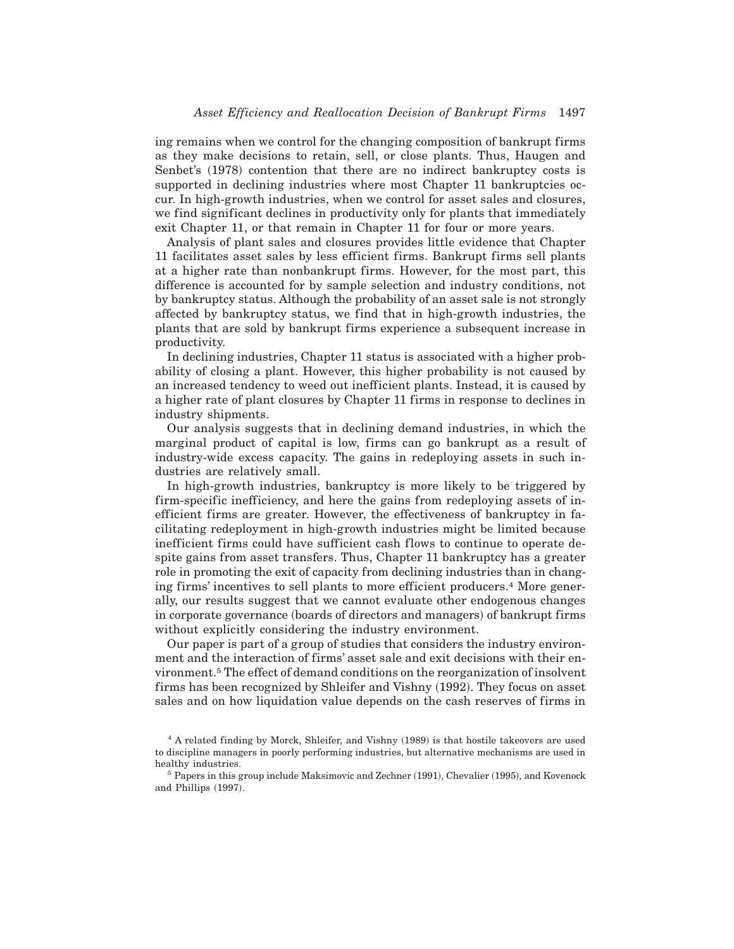ing remains when we control for the changing composition of bankrupt firms as they make decisions to retain, sell, or close plants. Thus, Haugen and Senbet's (1978) contention that there are no indirect bankruptcy costs is supported in declining industries where most Chapter 11 bankruptcies occur. In high-growth industries, when we control for asset sales and closures, we find significant declines in productivity only for plants that immediately exit Chapter 11, or that remain in Chapter 11 for four or more years.

Analysis of plant sales and closures provides little evidence that Chapter 11 facilitates asset sales by less efficient firms. Bankrupt firms sell plants at a higher rate than nonbankrupt firms. However, for the most part, this difference is accounted for by sample selection and industry conditions, not by bankruptcy status. Although the probability of an asset sale is not strongly affected by bankruptcy status, we find that in high-growth industries, the plants that are sold by bankrupt firms experience a subsequent increase in productivity.

In declining industries, Chapter 11 status is associated with a higher probability of closing a plant. However, this higher probability is not caused by an increased tendency to weed out inefficient plants. Instead, it is caused by a higher rate of plant closures by Chapter 11 firms in response to declines in industry shipments.

Our analysis suggests that in declining demand industries, in which the marginal product of capital is low, firms can go bankrupt as a result of industry-wide excess capacity. The gains in redeploying assets in such industries are relatively small.

In high-growth industries, bankruptcy is more likely to be triggered by firm-specific inefficiency, and here the gains from redeploying assets of inefficient firms are greater. However, the effectiveness of bankruptcy in facilitating redeployment in high-growth industries might be limited because inefficient firms could have sufficient cash flows to continue to operate despite gains from asset transfers. Thus, Chapter 11 bankruptcy has a greater role in promoting the exit of capacity from declining industries than in changing firms' incentives to sell plants to more efficient producers.4 More generally, our results suggest that we cannot evaluate other endogenous changes in corporate governance (boards of directors and managers) of bankrupt firms without explicitly considering the industry environment.

Our paper is part of a group of studies that considers the industry environment and the interaction of firms' asset sale and exit decisions with their environment.5 The effect of demand conditions on the reorganization of insolvent firms has been recognized by Shleifer and Vishny (1992). They focus on asset sales and on how liquidation value depends on the cash reserves of firms in

 $5$  Papers in this group include Maksimovic and Zechner  $(1991)$ , Chevalier  $(1995)$ , and Kovenock and Phillips (1997).

 $4$  A related finding by Morck, Shleifer, and Vishny  $(1989)$  is that hostile takeovers are used to discipline managers in poorly performing industries, but alternative mechanisms are used in healthy industries.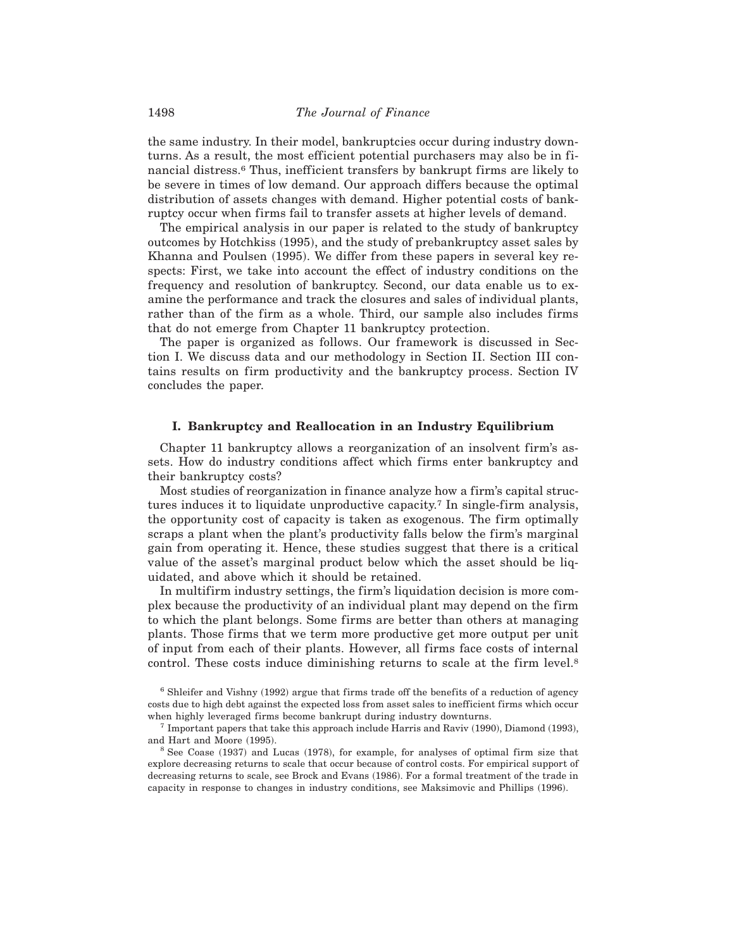the same industry. In their model, bankruptcies occur during industry downturns. As a result, the most efficient potential purchasers may also be in financial distress.6 Thus, inefficient transfers by bankrupt firms are likely to be severe in times of low demand. Our approach differs because the optimal distribution of assets changes with demand. Higher potential costs of bankruptcy occur when firms fail to transfer assets at higher levels of demand.

The empirical analysis in our paper is related to the study of bankruptcy outcomes by Hotchkiss (1995), and the study of prebankruptcy asset sales by Khanna and Poulsen (1995). We differ from these papers in several key respects: First, we take into account the effect of industry conditions on the frequency and resolution of bankruptcy. Second, our data enable us to examine the performance and track the closures and sales of individual plants, rather than of the firm as a whole. Third, our sample also includes firms that do not emerge from Chapter 11 bankruptcy protection.

The paper is organized as follows. Our framework is discussed in Section I. We discuss data and our methodology in Section II. Section III contains results on firm productivity and the bankruptcy process. Section IV concludes the paper.

### **I. Bankruptcy and Reallocation in an Industry Equilibrium**

Chapter 11 bankruptcy allows a reorganization of an insolvent firm's assets. How do industry conditions affect which firms enter bankruptcy and their bankruptcy costs?

Most studies of reorganization in finance analyze how a firm's capital structures induces it to liquidate unproductive capacity.7 In single-firm analysis, the opportunity cost of capacity is taken as exogenous. The firm optimally scraps a plant when the plant's productivity falls below the firm's marginal gain from operating it. Hence, these studies suggest that there is a critical value of the asset's marginal product below which the asset should be liquidated, and above which it should be retained.

In multifirm industry settings, the firm's liquidation decision is more complex because the productivity of an individual plant may depend on the firm to which the plant belongs. Some firms are better than others at managing plants. Those firms that we term more productive get more output per unit of input from each of their plants. However, all firms face costs of internal control. These costs induce diminishing returns to scale at the firm level.<sup>8</sup>

 $6$  Shleifer and Vishny  $(1992)$  argue that firms trade off the benefits of a reduction of agency costs due to high debt against the expected loss from asset sales to inefficient firms which occur when highly leveraged firms become bankrupt during industry downturns.

<sup>7</sup> Important papers that take this approach include Harris and Raviv  $(1990)$ , Diamond  $(1993)$ , and Hart and Moore (1995).

 $8$  See Coase (1937) and Lucas (1978), for example, for analyses of optimal firm size that explore decreasing returns to scale that occur because of control costs. For empirical support of decreasing returns to scale, see Brock and Evans (1986). For a formal treatment of the trade in capacity in response to changes in industry conditions, see Maksimovic and Phillips (1996).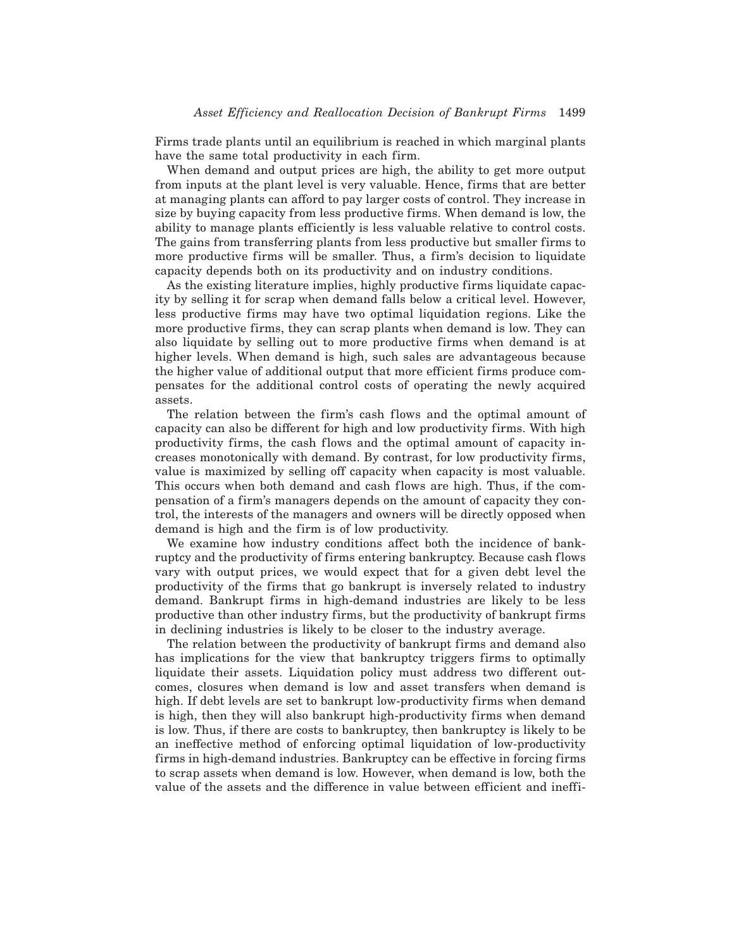Firms trade plants until an equilibrium is reached in which marginal plants have the same total productivity in each firm.

When demand and output prices are high, the ability to get more output from inputs at the plant level is very valuable. Hence, firms that are better at managing plants can afford to pay larger costs of control. They increase in size by buying capacity from less productive firms. When demand is low, the ability to manage plants efficiently is less valuable relative to control costs. The gains from transferring plants from less productive but smaller firms to more productive firms will be smaller. Thus, a firm's decision to liquidate capacity depends both on its productivity and on industry conditions.

As the existing literature implies, highly productive firms liquidate capacity by selling it for scrap when demand falls below a critical level. However, less productive firms may have two optimal liquidation regions. Like the more productive firms, they can scrap plants when demand is low. They can also liquidate by selling out to more productive firms when demand is at higher levels. When demand is high, such sales are advantageous because the higher value of additional output that more efficient firms produce compensates for the additional control costs of operating the newly acquired assets.

The relation between the firm's cash flows and the optimal amount of capacity can also be different for high and low productivity firms. With high productivity firms, the cash flows and the optimal amount of capacity increases monotonically with demand. By contrast, for low productivity firms, value is maximized by selling off capacity when capacity is most valuable. This occurs when both demand and cash flows are high. Thus, if the compensation of a firm's managers depends on the amount of capacity they control, the interests of the managers and owners will be directly opposed when demand is high and the firm is of low productivity.

We examine how industry conditions affect both the incidence of bankruptcy and the productivity of firms entering bankruptcy. Because cash flows vary with output prices, we would expect that for a given debt level the productivity of the firms that go bankrupt is inversely related to industry demand. Bankrupt firms in high-demand industries are likely to be less productive than other industry firms, but the productivity of bankrupt firms in declining industries is likely to be closer to the industry average.

The relation between the productivity of bankrupt firms and demand also has implications for the view that bankruptcy triggers firms to optimally liquidate their assets. Liquidation policy must address two different outcomes, closures when demand is low and asset transfers when demand is high. If debt levels are set to bankrupt low-productivity firms when demand is high, then they will also bankrupt high-productivity firms when demand is low. Thus, if there are costs to bankruptcy, then bankruptcy is likely to be an ineffective method of enforcing optimal liquidation of low-productivity firms in high-demand industries. Bankruptcy can be effective in forcing firms to scrap assets when demand is low. However, when demand is low, both the value of the assets and the difference in value between efficient and ineffi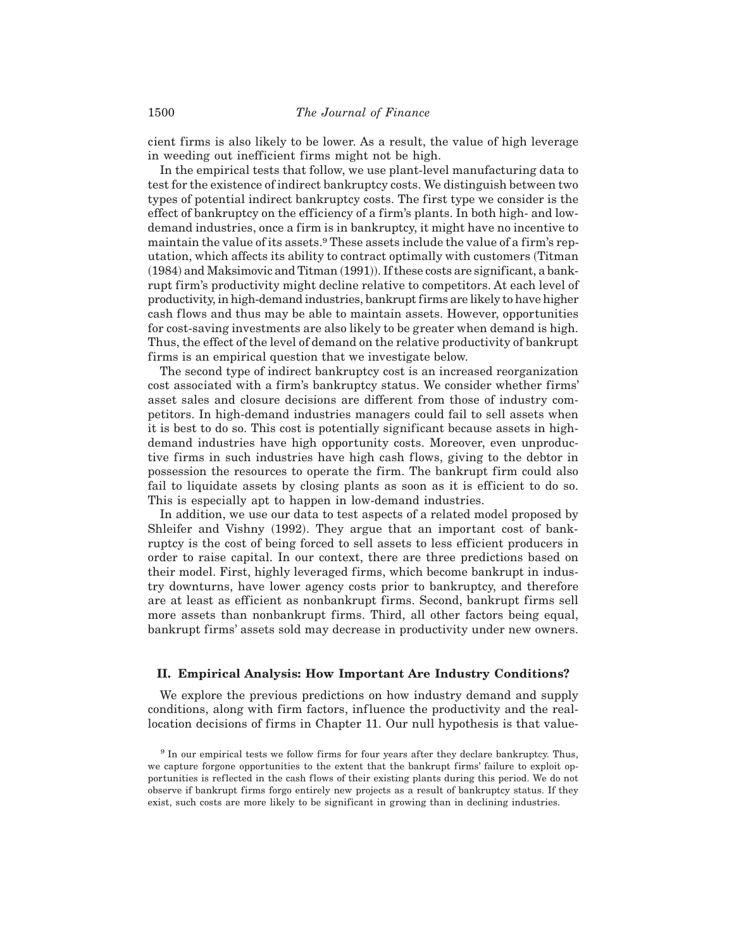cient firms is also likely to be lower. As a result, the value of high leverage in weeding out inefficient firms might not be high.

In the empirical tests that follow, we use plant-level manufacturing data to test for the existence of indirect bankruptcy costs. We distinguish between two types of potential indirect bankruptcy costs. The first type we consider is the effect of bankruptcy on the efficiency of a firm's plants. In both high- and lowdemand industries, once a firm is in bankruptcy, it might have no incentive to maintain the value of its assets.9 These assets include the value of a firm's reputation, which affects its ability to contract optimally with customers (Titman  $(1984)$  and Maksimovic and Titman  $(1991)$ ). If these costs are significant, a bankrupt firm's productivity might decline relative to competitors. At each level of productivity, in high-demand industries, bankrupt firms are likely to have higher cash flows and thus may be able to maintain assets. However, opportunities for cost-saving investments are also likely to be greater when demand is high. Thus, the effect of the level of demand on the relative productivity of bankrupt firms is an empirical question that we investigate below.

The second type of indirect bankruptcy cost is an increased reorganization cost associated with a firm's bankruptcy status. We consider whether firms' asset sales and closure decisions are different from those of industry competitors. In high-demand industries managers could fail to sell assets when it is best to do so. This cost is potentially significant because assets in highdemand industries have high opportunity costs. Moreover, even unproductive firms in such industries have high cash flows, giving to the debtor in possession the resources to operate the firm. The bankrupt firm could also fail to liquidate assets by closing plants as soon as it is efficient to do so. This is especially apt to happen in low-demand industries.

In addition, we use our data to test aspects of a related model proposed by Shleifer and Vishny  $(1992)$ . They argue that an important cost of bankruptcy is the cost of being forced to sell assets to less efficient producers in order to raise capital. In our context, there are three predictions based on their model. First, highly leveraged firms, which become bankrupt in industry downturns, have lower agency costs prior to bankruptcy, and therefore are at least as efficient as nonbankrupt firms. Second, bankrupt firms sell more assets than nonbankrupt firms. Third, all other factors being equal, bankrupt firms' assets sold may decrease in productivity under new owners.

### **II. Empirical Analysis: How Important Are Industry Conditions?**

We explore the previous predictions on how industry demand and supply conditions, along with firm factors, influence the productivity and the reallocation decisions of firms in Chapter 11. Our null hypothesis is that value-

<sup>&</sup>lt;sup>9</sup> In our empirical tests we follow firms for four years after they declare bankruptcy. Thus, we capture forgone opportunities to the extent that the bankrupt firms' failure to exploit opportunities is reflected in the cash flows of their existing plants during this period. We do not observe if bankrupt firms forgo entirely new projects as a result of bankruptcy status. If they exist, such costs are more likely to be significant in growing than in declining industries.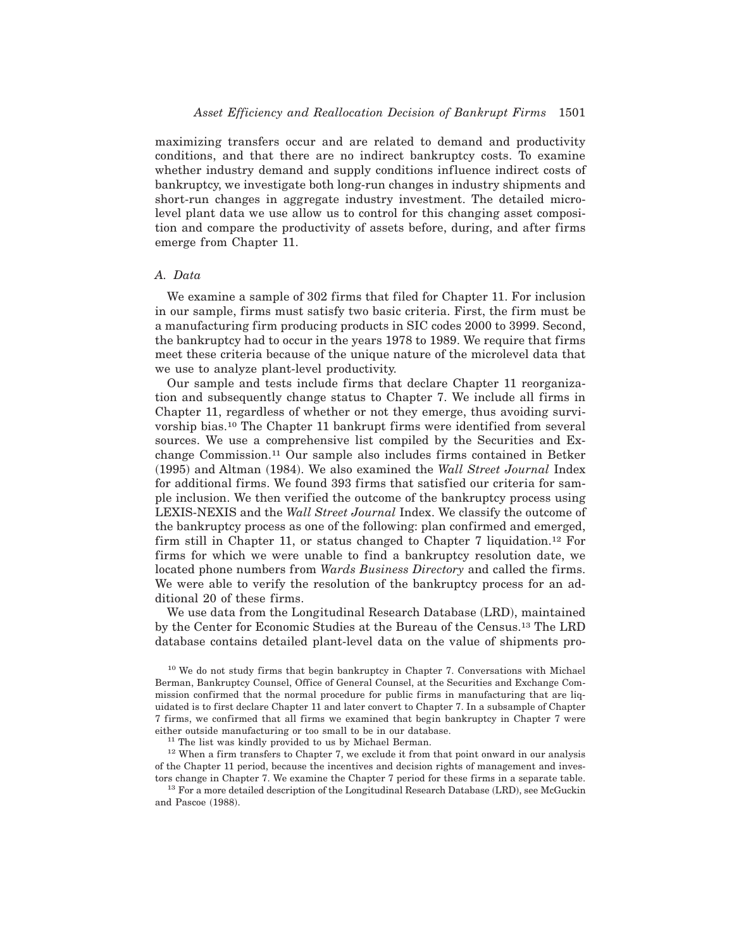maximizing transfers occur and are related to demand and productivity conditions, and that there are no indirect bankruptcy costs. To examine whether industry demand and supply conditions influence indirect costs of bankruptcy, we investigate both long-run changes in industry shipments and short-run changes in aggregate industry investment. The detailed microlevel plant data we use allow us to control for this changing asset composition and compare the productivity of assets before, during, and after firms emerge from Chapter 11.

### *A. Data*

We examine a sample of 302 firms that filed for Chapter 11. For inclusion in our sample, firms must satisfy two basic criteria. First, the firm must be a manufacturing firm producing products in SIC codes 2000 to 3999. Second, the bankruptcy had to occur in the years 1978 to 1989. We require that firms meet these criteria because of the unique nature of the microlevel data that we use to analyze plant-level productivity.

Our sample and tests include firms that declare Chapter 11 reorganization and subsequently change status to Chapter 7. We include all firms in Chapter 11, regardless of whether or not they emerge, thus avoiding survivorship bias.10 The Chapter 11 bankrupt firms were identified from several sources. We use a comprehensive list compiled by the Securities and Exchange Commission.11 Our sample also includes firms contained in Betker ~1995! and Altman ~1984!. We also examined the *Wall Street Journal* Index for additional firms. We found 393 firms that satisfied our criteria for sample inclusion. We then verified the outcome of the bankruptcy process using LEXIS-NEXIS and the *Wall Street Journal* Index. We classify the outcome of the bankruptcy process as one of the following: plan confirmed and emerged, firm still in Chapter 11, or status changed to Chapter 7 liquidation.12 For firms for which we were unable to find a bankruptcy resolution date, we located phone numbers from *Wards Business Directory* and called the firms. We were able to verify the resolution of the bankruptcy process for an additional 20 of these firms.

We use data from the Longitudinal Research Database (LRD), maintained by the Center for Economic Studies at the Bureau of the Census.13 The LRD database contains detailed plant-level data on the value of shipments pro-

 $10$  We do not study firms that begin bankruptcy in Chapter 7. Conversations with Michael Berman, Bankruptcy Counsel, Office of General Counsel, at the Securities and Exchange Commission confirmed that the normal procedure for public firms in manufacturing that are liquidated is to first declare Chapter 11 and later convert to Chapter 7. In a subsample of Chapter 7 firms, we confirmed that all firms we examined that begin bankruptcy in Chapter 7 were either outside manufacturing or too small to be in our database.

<sup>11</sup> The list was kindly provided to us by Michael Berman.

 $12$  When a firm transfers to Chapter 7, we exclude it from that point onward in our analysis of the Chapter 11 period, because the incentives and decision rights of management and investors change in Chapter 7. We examine the Chapter 7 period for these firms in a separate table.

 $13$  For a more detailed description of the Longitudinal Research Database (LRD), see McGuckin and Pascoe  $(1988)$ .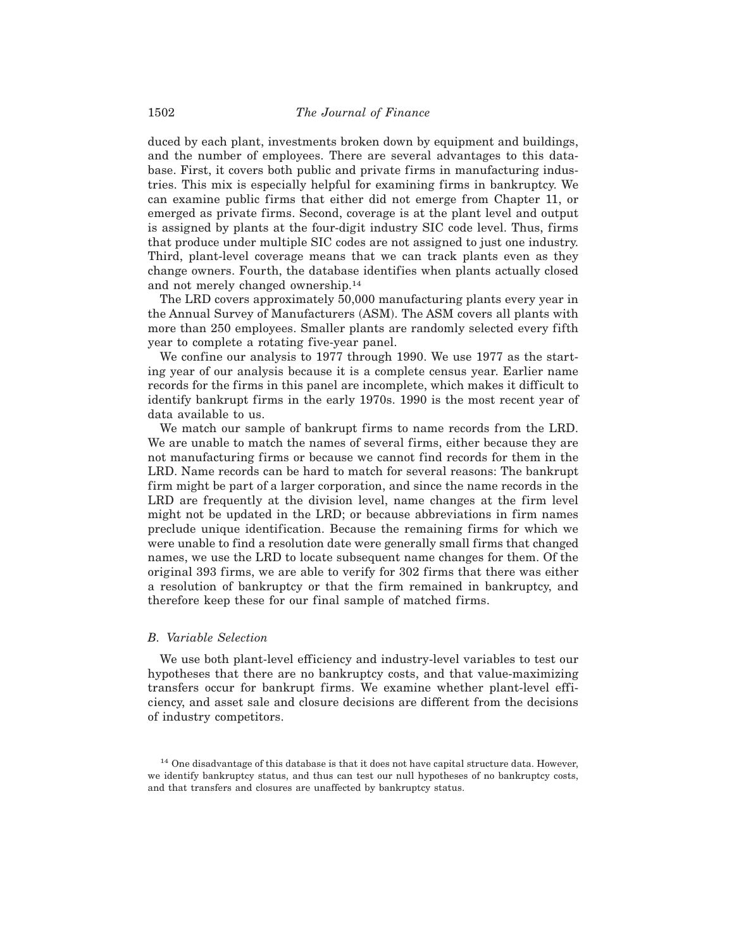duced by each plant, investments broken down by equipment and buildings, and the number of employees. There are several advantages to this database. First, it covers both public and private firms in manufacturing industries. This mix is especially helpful for examining firms in bankruptcy. We can examine public firms that either did not emerge from Chapter 11, or emerged as private firms. Second, coverage is at the plant level and output is assigned by plants at the four-digit industry SIC code level. Thus, firms that produce under multiple SIC codes are not assigned to just one industry. Third, plant-level coverage means that we can track plants even as they change owners. Fourth, the database identifies when plants actually closed and not merely changed ownership.14

The LRD covers approximately 50,000 manufacturing plants every year in the Annual Survey of Manufacturers (ASM). The ASM covers all plants with more than 250 employees. Smaller plants are randomly selected every fifth year to complete a rotating five-year panel.

We confine our analysis to 1977 through 1990. We use 1977 as the starting year of our analysis because it is a complete census year. Earlier name records for the firms in this panel are incomplete, which makes it difficult to identify bankrupt firms in the early 1970s. 1990 is the most recent year of data available to us.

We match our sample of bankrupt firms to name records from the LRD. We are unable to match the names of several firms, either because they are not manufacturing firms or because we cannot find records for them in the LRD. Name records can be hard to match for several reasons: The bankrupt firm might be part of a larger corporation, and since the name records in the LRD are frequently at the division level, name changes at the firm level might not be updated in the LRD; or because abbreviations in firm names preclude unique identification. Because the remaining firms for which we were unable to find a resolution date were generally small firms that changed names, we use the LRD to locate subsequent name changes for them. Of the original 393 firms, we are able to verify for 302 firms that there was either a resolution of bankruptcy or that the firm remained in bankruptcy, and therefore keep these for our final sample of matched firms.

### *B. Variable Selection*

We use both plant-level efficiency and industry-level variables to test our hypotheses that there are no bankruptcy costs, and that value-maximizing transfers occur for bankrupt firms. We examine whether plant-level efficiency, and asset sale and closure decisions are different from the decisions of industry competitors.

<sup>14</sup> One disadvantage of this database is that it does not have capital structure data. However, we identify bankruptcy status, and thus can test our null hypotheses of no bankruptcy costs, and that transfers and closures are unaffected by bankruptcy status.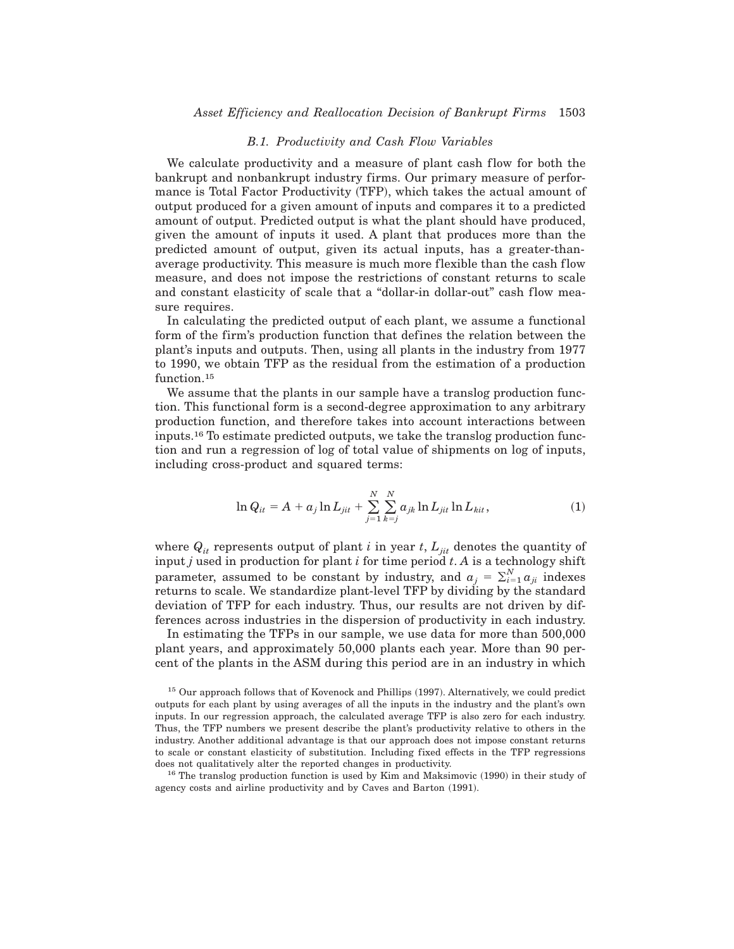### *B.1. Productivity and Cash Flow Variables*

We calculate productivity and a measure of plant cash flow for both the bankrupt and nonbankrupt industry firms. Our primary measure of performance is Total Factor Productivity (TFP), which takes the actual amount of output produced for a given amount of inputs and compares it to a predicted amount of output. Predicted output is what the plant should have produced, given the amount of inputs it used. A plant that produces more than the predicted amount of output, given its actual inputs, has a greater-thanaverage productivity. This measure is much more flexible than the cash flow measure, and does not impose the restrictions of constant returns to scale and constant elasticity of scale that a "dollar-in dollar-out" cash flow measure requires.

In calculating the predicted output of each plant, we assume a functional form of the firm's production function that defines the relation between the plant's inputs and outputs. Then, using all plants in the industry from 1977 to 1990, we obtain TFP as the residual from the estimation of a production function.<sup>15</sup>

We assume that the plants in our sample have a translog production function. This functional form is a second-degree approximation to any arbitrary production function, and therefore takes into account interactions between inputs.16 To estimate predicted outputs, we take the translog production function and run a regression of log of total value of shipments on log of inputs, including cross-product and squared terms:

$$
\ln Q_{it} = A + a_j \ln L_{jit} + \sum_{j=1}^{N} \sum_{k=j}^{N} a_{jk} \ln L_{jit} \ln L_{kit},
$$
\n(1)

where  $Q_{it}$  represents output of plant *i* in year *t*,  $L_{it}$  denotes the quantity of input *j* used in production for plant *i* for time period *t*. *A* is a technology shift parameter, assumed to be constant by industry, and  $a_j = \sum_{i=1}^{N} a_{ji}$  indexes returns to scale. We standardize plant-level TFP by dividing by the standard deviation of TFP for each industry. Thus, our results are not driven by differences across industries in the dispersion of productivity in each industry.

In estimating the TFPs in our sample, we use data for more than 500,000 plant years, and approximately 50,000 plants each year. More than 90 percent of the plants in the ASM during this period are in an industry in which

<sup>16</sup> The translog production function is used by Kim and Maksimovic  $(1990)$  in their study of agency costs and airline productivity and by Caves and Barton (1991).

 $15$  Our approach follows that of Kovenock and Phillips  $(1997)$ . Alternatively, we could predict outputs for each plant by using averages of all the inputs in the industry and the plant's own inputs. In our regression approach, the calculated average TFP is also zero for each industry. Thus, the TFP numbers we present describe the plant's productivity relative to others in the industry. Another additional advantage is that our approach does not impose constant returns to scale or constant elasticity of substitution. Including fixed effects in the TFP regressions does not qualitatively alter the reported changes in productivity.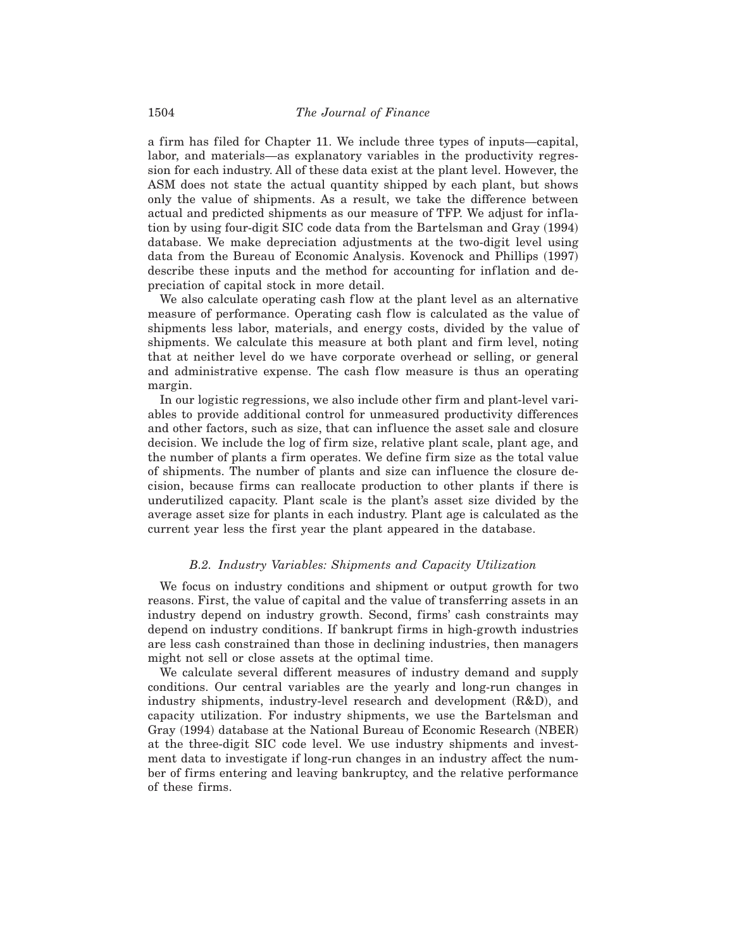a firm has filed for Chapter 11. We include three types of inputs—capital, labor, and materials—as explanatory variables in the productivity regression for each industry. All of these data exist at the plant level. However, the ASM does not state the actual quantity shipped by each plant, but shows only the value of shipments. As a result, we take the difference between actual and predicted shipments as our measure of TFP. We adjust for inflation by using four-digit SIC code data from the Bartelsman and Gray (1994) database. We make depreciation adjustments at the two-digit level using data from the Bureau of Economic Analysis. Kovenock and Phillips (1997) describe these inputs and the method for accounting for inflation and depreciation of capital stock in more detail.

We also calculate operating cash flow at the plant level as an alternative measure of performance. Operating cash flow is calculated as the value of shipments less labor, materials, and energy costs, divided by the value of shipments. We calculate this measure at both plant and firm level, noting that at neither level do we have corporate overhead or selling, or general and administrative expense. The cash flow measure is thus an operating margin.

In our logistic regressions, we also include other firm and plant-level variables to provide additional control for unmeasured productivity differences and other factors, such as size, that can influence the asset sale and closure decision. We include the log of firm size, relative plant scale, plant age, and the number of plants a firm operates. We define firm size as the total value of shipments. The number of plants and size can influence the closure decision, because firms can reallocate production to other plants if there is underutilized capacity. Plant scale is the plant's asset size divided by the average asset size for plants in each industry. Plant age is calculated as the current year less the first year the plant appeared in the database.

### *B.2. Industry Variables: Shipments and Capacity Utilization*

We focus on industry conditions and shipment or output growth for two reasons. First, the value of capital and the value of transferring assets in an industry depend on industry growth. Second, firms' cash constraints may depend on industry conditions. If bankrupt firms in high-growth industries are less cash constrained than those in declining industries, then managers might not sell or close assets at the optimal time.

We calculate several different measures of industry demand and supply conditions. Our central variables are the yearly and long-run changes in industry shipments, industry-level research and development  $(R&D)$ , and capacity utilization. For industry shipments, we use the Bartelsman and Gray (1994) database at the National Bureau of Economic Research (NBER) at the three-digit SIC code level. We use industry shipments and investment data to investigate if long-run changes in an industry affect the number of firms entering and leaving bankruptcy, and the relative performance of these firms.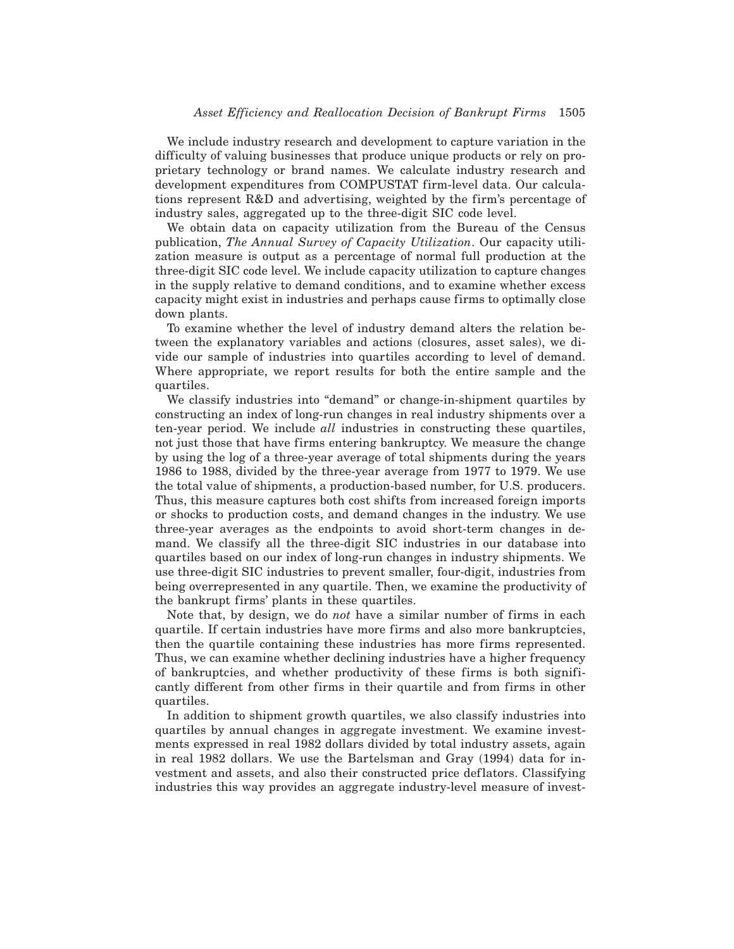We include industry research and development to capture variation in the difficulty of valuing businesses that produce unique products or rely on proprietary technology or brand names. We calculate industry research and development expenditures from COMPUSTAT firm-level data. Our calculations represent R&D and advertising, weighted by the firm's percentage of industry sales, aggregated up to the three-digit SIC code level.

We obtain data on capacity utilization from the Bureau of the Census publication, *The Annual Survey of Capacity Utilization*. Our capacity utilization measure is output as a percentage of normal full production at the three-digit SIC code level. We include capacity utilization to capture changes in the supply relative to demand conditions, and to examine whether excess capacity might exist in industries and perhaps cause firms to optimally close down plants.

To examine whether the level of industry demand alters the relation between the explanatory variables and actions (closures, asset sales), we divide our sample of industries into quartiles according to level of demand. Where appropriate, we report results for both the entire sample and the quartiles.

We classify industries into "demand" or change-in-shipment quartiles by constructing an index of long-run changes in real industry shipments over a ten-year period. We include *all* industries in constructing these quartiles, not just those that have firms entering bankruptcy. We measure the change by using the log of a three-year average of total shipments during the years 1986 to 1988, divided by the three-year average from 1977 to 1979. We use the total value of shipments, a production-based number, for U.S. producers. Thus, this measure captures both cost shifts from increased foreign imports or shocks to production costs, and demand changes in the industry. We use three-year averages as the endpoints to avoid short-term changes in demand. We classify all the three-digit SIC industries in our database into quartiles based on our index of long-run changes in industry shipments. We use three-digit SIC industries to prevent smaller, four-digit, industries from being overrepresented in any quartile. Then, we examine the productivity of the bankrupt firms' plants in these quartiles.

Note that, by design, we do *not* have a similar number of firms in each quartile. If certain industries have more firms and also more bankruptcies, then the quartile containing these industries has more firms represented. Thus, we can examine whether declining industries have a higher frequency of bankruptcies, and whether productivity of these firms is both significantly different from other firms in their quartile and from firms in other quartiles.

In addition to shipment growth quartiles, we also classify industries into quartiles by annual changes in aggregate investment. We examine investments expressed in real 1982 dollars divided by total industry assets, again in real 1982 dollars. We use the Bartelsman and Gray (1994) data for investment and assets, and also their constructed price deflators. Classifying industries this way provides an aggregate industry-level measure of invest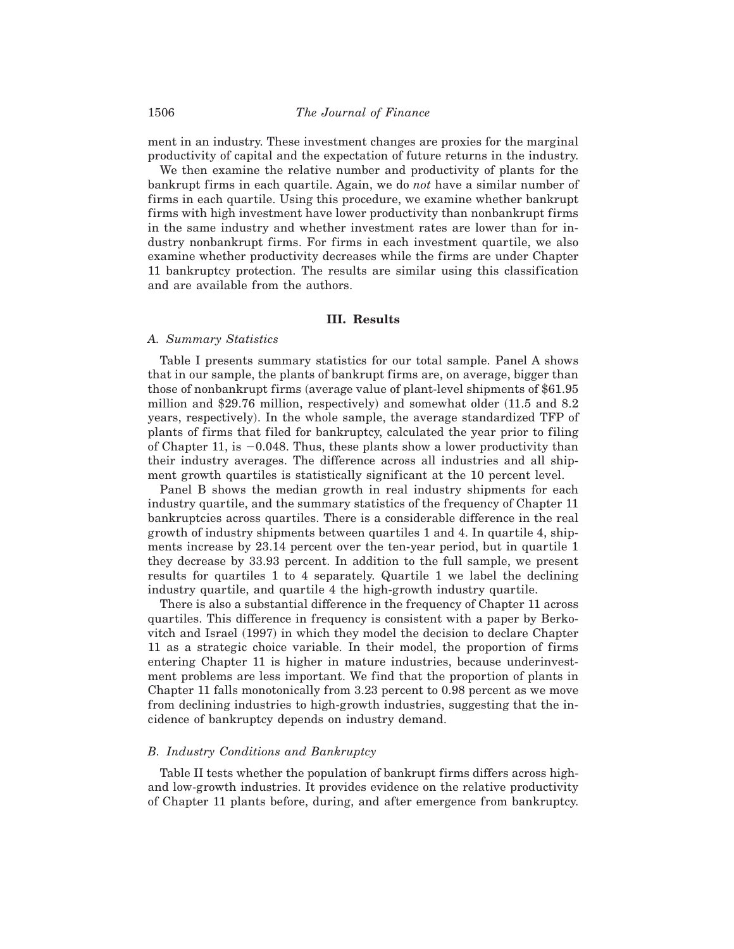ment in an industry. These investment changes are proxies for the marginal productivity of capital and the expectation of future returns in the industry.

We then examine the relative number and productivity of plants for the bankrupt firms in each quartile. Again, we do *not* have a similar number of firms in each quartile. Using this procedure, we examine whether bankrupt firms with high investment have lower productivity than nonbankrupt firms in the same industry and whether investment rates are lower than for industry nonbankrupt firms. For firms in each investment quartile, we also examine whether productivity decreases while the firms are under Chapter 11 bankruptcy protection. The results are similar using this classification and are available from the authors.

### **III. Results**

### *A. Summary Statistics*

Table I presents summary statistics for our total sample. Panel A shows that in our sample, the plants of bankrupt firms are, on average, bigger than those of nonbankrupt firms (average value of plant-level shipments of  $$61.95$ million and  $$29.76$  million, respectively) and somewhat older  $(11.5$  and  $8.2$ years, respectively). In the whole sample, the average standardized TFP of plants of firms that filed for bankruptcy, calculated the year prior to filing of Chapter 11, is  $-0.048$ . Thus, these plants show a lower productivity than their industry averages. The difference across all industries and all shipment growth quartiles is statistically significant at the 10 percent level.

Panel B shows the median growth in real industry shipments for each industry quartile, and the summary statistics of the frequency of Chapter 11 bankruptcies across quartiles. There is a considerable difference in the real growth of industry shipments between quartiles 1 and 4. In quartile 4, shipments increase by 23.14 percent over the ten-year period, but in quartile 1 they decrease by 33.93 percent. In addition to the full sample, we present results for quartiles 1 to 4 separately. Quartile 1 we label the declining industry quartile, and quartile 4 the high-growth industry quartile.

There is also a substantial difference in the frequency of Chapter 11 across quartiles. This difference in frequency is consistent with a paper by Berkovitch and Israel  $(1997)$  in which they model the decision to declare Chapter 11 as a strategic choice variable. In their model, the proportion of firms entering Chapter 11 is higher in mature industries, because underinvestment problems are less important. We find that the proportion of plants in Chapter 11 falls monotonically from 3.23 percent to 0.98 percent as we move from declining industries to high-growth industries, suggesting that the incidence of bankruptcy depends on industry demand.

## *B. Industry Conditions and Bankruptcy*

Table II tests whether the population of bankrupt firms differs across highand low-growth industries. It provides evidence on the relative productivity of Chapter 11 plants before, during, and after emergence from bankruptcy.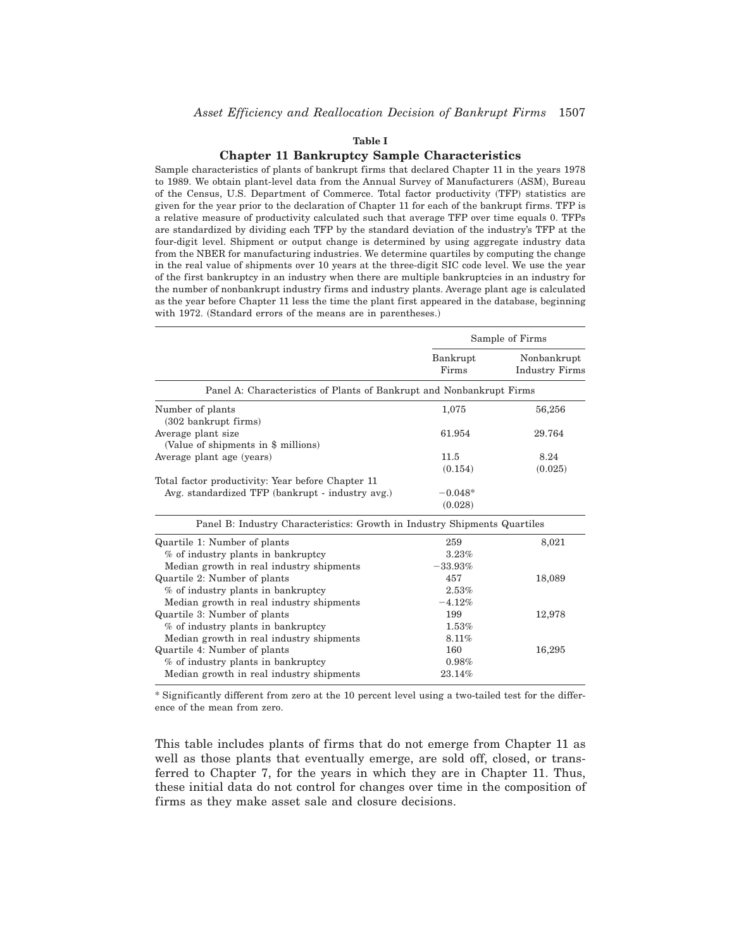#### **Table I**

### **Chapter 11 Bankruptcy Sample Characteristics**

Sample characteristics of plants of bankrupt firms that declared Chapter 11 in the years 1978 to 1989. We obtain plant-level data from the Annual Survey of Manufacturers (ASM), Bureau of the Census, U.S. Department of Commerce. Total factor productivity (TFP) statistics are given for the year prior to the declaration of Chapter 11 for each of the bankrupt firms. TFP is a relative measure of productivity calculated such that average TFP over time equals 0. TFPs are standardized by dividing each TFP by the standard deviation of the industry's TFP at the four-digit level. Shipment or output change is determined by using aggregate industry data from the NBER for manufacturing industries. We determine quartiles by computing the change in the real value of shipments over 10 years at the three-digit SIC code level. We use the year of the first bankruptcy in an industry when there are multiple bankruptcies in an industry for the number of nonbankrupt industry firms and industry plants. Average plant age is calculated as the year before Chapter 11 less the time the plant first appeared in the database, beginning with 1972. (Standard errors of the means are in parentheses.)

|                                                                                                                |                           | Sample of Firms                      |
|----------------------------------------------------------------------------------------------------------------|---------------------------|--------------------------------------|
|                                                                                                                | Bankrupt<br>Firms         | Nonbankrupt<br><b>Industry Firms</b> |
| Panel A: Characteristics of Plants of Bankrupt and Nonbankrupt Firms                                           |                           |                                      |
| Number of plants<br>$(302$ bankrupt firms)                                                                     | 1,075                     | 56,256                               |
| Average plant size<br>(Value of shipments in \$ millions)                                                      | 61.954                    | 29.764                               |
| Average plant age (years)                                                                                      | 11.5<br>(0.154)           | 8.24<br>(0.025)                      |
| Total factor productivity: Year before Chapter 11<br>Avg. standardized TFP (bankrupt - industry avg.)          | $-0.048*$<br>(0.028)      |                                      |
| Panel B: Industry Characteristics: Growth in Industry Shipments Quartiles                                      |                           |                                      |
| Quartile 1: Number of plants<br>% of industry plants in bankruptcy<br>Median growth in real industry shipments | 259<br>3.23%<br>$-33.93%$ | 8,021                                |
| Quartile 2: Number of plants<br>% of industry plants in bankruptcy<br>Median growth in real industry shipments | 457<br>2.53%<br>$-4.12%$  | 18,089                               |
| Quartile 3: Number of plants<br>% of industry plants in bankruptcy<br>Median growth in real industry shipments | 199<br>1.53%<br>8.11%     | 12,978                               |
| Quartile 4: Number of plants<br>% of industry plants in bankruptcy<br>Median growth in real industry shipments | 160<br>0.98%<br>23.14%    | 16,295                               |

\* Significantly different from zero at the 10 percent level using a two-tailed test for the difference of the mean from zero.

This table includes plants of firms that do not emerge from Chapter 11 as well as those plants that eventually emerge, are sold off, closed, or transferred to Chapter 7, for the years in which they are in Chapter 11. Thus, these initial data do not control for changes over time in the composition of firms as they make asset sale and closure decisions.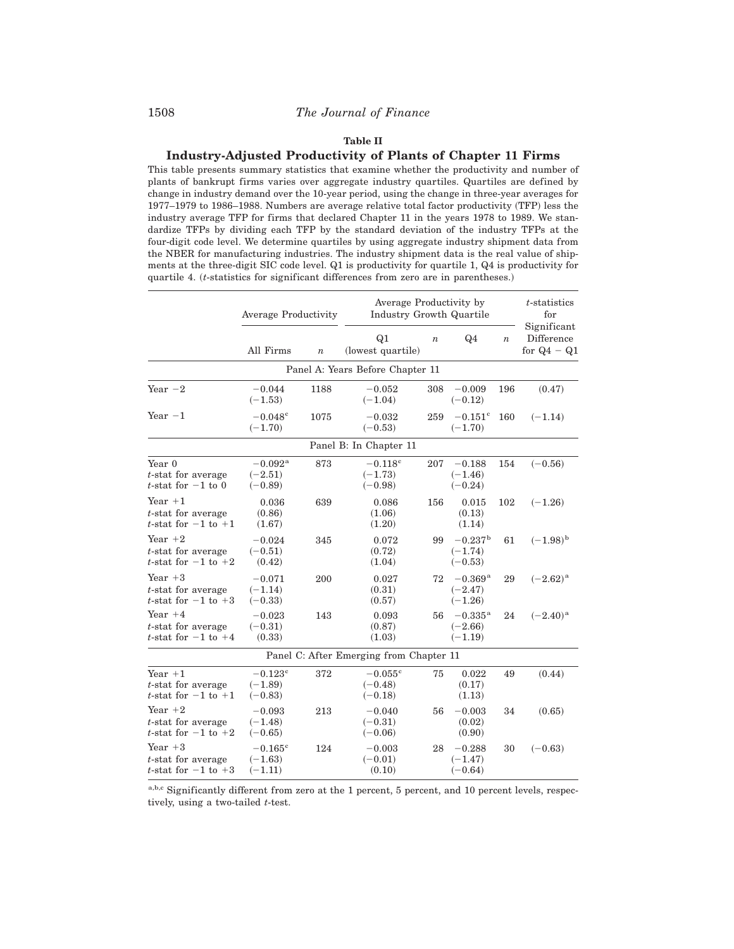### **Table II**

#### **Industry-Adjusted Productivity of Plants of Chapter 11 Firms**

This table presents summary statistics that examine whether the productivity and number of plants of bankrupt firms varies over aggregate industry quartiles. Quartiles are defined by change in industry demand over the 10-year period, using the change in three-year averages for 1977–1979 to 1986–1988. Numbers are average relative total factor productivity (TFP) less the industry average TFP for firms that declared Chapter 11 in the years 1978 to 1989. We standardize TFPs by dividing each TFP by the standard deviation of the industry TFPs at the four-digit code level. We determine quartiles by using aggregate industry shipment data from the NBER for manufacturing industries. The industry shipment data is the real value of shipments at the three-digit SIC code level. Q1 is productivity for quartile 1, Q4 is productivity for quartile 4. (*t*-statistics for significant differences from zero are in parentheses.)

|                                                                       | Average Productivity                            |                  |                                                 | Average Productivity by<br>Industry Growth Quartile |                                                 |                  | t-statistics<br>for                          |
|-----------------------------------------------------------------------|-------------------------------------------------|------------------|-------------------------------------------------|-----------------------------------------------------|-------------------------------------------------|------------------|----------------------------------------------|
|                                                                       | All Firms                                       | $\boldsymbol{n}$ | Q <sub>1</sub><br>(lowest quartile)             | $\boldsymbol{n}$                                    | Q <sub>4</sub>                                  | $\boldsymbol{n}$ | Significant<br>Difference<br>for $Q_4 - Q_1$ |
|                                                                       |                                                 |                  | Panel A: Years Before Chapter 11                |                                                     |                                                 |                  |                                              |
| Year $-2$                                                             | $-0.044$<br>$(-1.53)$                           | 1188             | $-0.052$<br>$(-1.04)$                           | 308                                                 | $-0.009$<br>$(-0.12)$                           | 196              | (0.47)                                       |
| Year $-1$                                                             | $-0.048^{\circ}$<br>$(-1.70)$                   | 1075             | $-0.032$<br>$(-0.53)$                           | 259                                                 | $-0.151^{\circ}$<br>$(-1.70)$                   | 160              | $(-1.14)$                                    |
|                                                                       |                                                 |                  | Panel B: In Chapter 11                          |                                                     |                                                 |                  |                                              |
| Year <sub>0</sub><br>$t$ -stat for average<br>t-stat for $-1$ to 0    | $-0.092^{\rm a}$<br>$(-2.51)$<br>$(-0.89)$      | 873              | $-0.118$ <sup>c</sup><br>$(-1.73)$<br>$(-0.98)$ | 207                                                 | $-0.188$<br>$(-1.46)$<br>$(-0.24)$              | 154              | $(-0.56)$                                    |
| Year $+1$<br>$t$ -stat for average<br>t-stat for $-1$ to $+1$         | 0.036<br>(0.86)<br>(1.67)                       | 639              | 0.086<br>(1.06)<br>(1.20)                       | 156                                                 | 0.015<br>(0.13)<br>(1.14)                       | 102              | $(-1.26)$                                    |
| Year $+2$<br>$t$ -stat for average<br>t-stat for $-1$ to $+2$         | $-0.024$<br>$(-0.51)$<br>(0.42)                 | 345              | 0.072<br>(0.72)<br>(1.04)                       | 99                                                  | $-0.237^{\rm b}$<br>$(-1.74)$<br>$(-0.53)$      | 61               | $(-1.98)^{b}$                                |
| Year $+3$<br>$t$ -stat for average<br>t-stat for $-1$ to $+3$         | $-0.071$<br>$(-1.14)$<br>$(-0.33)$              | 200              | 0.027<br>(0.31)<br>(0.57)                       | 72                                                  | $-0.369$ <sup>a</sup><br>$(-2.47)$<br>$(-1.26)$ | 29               | $(-2.62)^{a}$                                |
| Year $+4$<br>$t$ -stat for average<br>t-stat for $-1$ to $+4$         | $-0.023$<br>$(-0.31)$<br>(0.33)                 | 143              | 0.093<br>(0.87)<br>(1.03)                       | 56                                                  | $-0.335^{\rm a}$<br>$(-2.66)$<br>$(-1.19)$      | 24               | $(-2.40)^{a}$                                |
|                                                                       |                                                 |                  | Panel C: After Emerging from Chapter 11         |                                                     |                                                 |                  |                                              |
| Year $+1$<br>$t$ -stat for average<br>t-stat for $-1$ to $+1$         | $-0.123^{\circ}$<br>$(-1.89)$<br>$(-0.83)$      | 372              | $-0.055$ <sup>c</sup><br>$(-0.48)$<br>$(-0.18)$ | 75                                                  | 0.022<br>(0.17)<br>(1.13)                       | 49               | (0.44)                                       |
| Year $+2$<br>$t$ -stat for average<br>t-stat for $-1$ to $+2$         | $-0.093$<br>$(-1.48)$<br>$(-0.65)$              | 213              | $-0.040$<br>$(-0.31)$<br>$(-0.06)$              | 56                                                  | $-0.003$<br>(0.02)<br>(0.90)                    | 34               | (0.65)                                       |
| Year $+3$<br>$t$ -stat for average<br><i>t</i> -stat for $-1$ to $+3$ | $-0.165$ <sup>c</sup><br>$(-1.63)$<br>$(-1.11)$ | 124              | $-0.003$<br>$(-0.01)$<br>(0.10)                 | 28                                                  | $-0.288$<br>$(-1.47)$<br>$(-0.64)$              | 30               | $(-0.63)$                                    |

a,b,c Significantly different from zero at the 1 percent, 5 percent, and 10 percent levels, respectively, using a two-tailed *t*-test.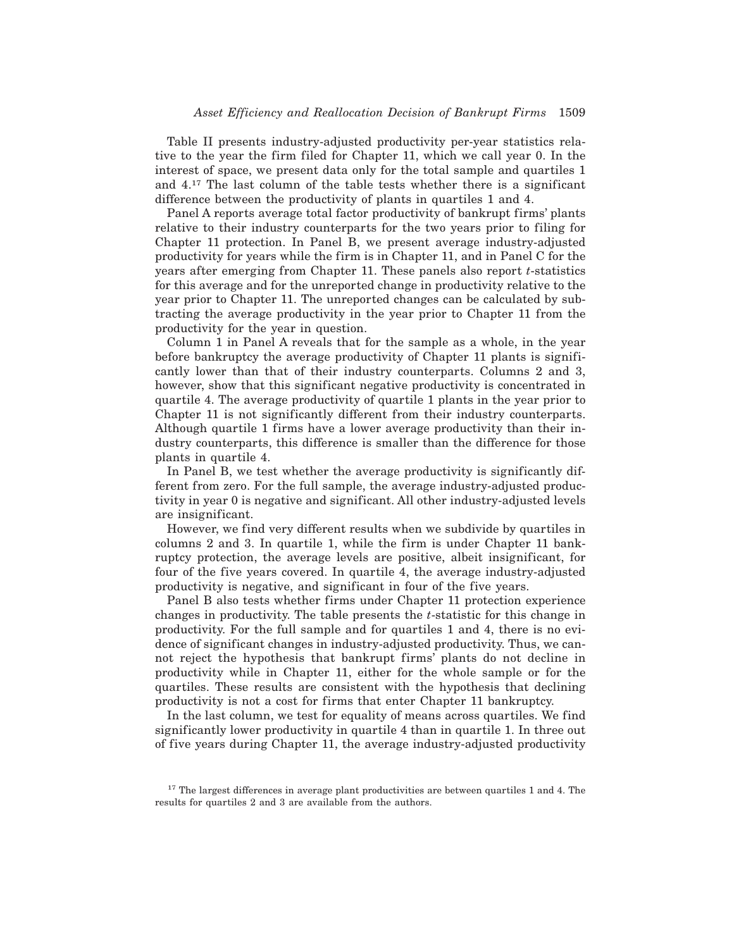Table II presents industry-adjusted productivity per-year statistics relative to the year the firm filed for Chapter 11, which we call year 0. In the interest of space, we present data only for the total sample and quartiles 1 and 4.17 The last column of the table tests whether there is a significant difference between the productivity of plants in quartiles 1 and 4.

Panel A reports average total factor productivity of bankrupt firms' plants relative to their industry counterparts for the two years prior to filing for Chapter 11 protection. In Panel B, we present average industry-adjusted productivity for years while the firm is in Chapter 11, and in Panel C for the years after emerging from Chapter 11. These panels also report *t*-statistics for this average and for the unreported change in productivity relative to the year prior to Chapter 11. The unreported changes can be calculated by subtracting the average productivity in the year prior to Chapter 11 from the productivity for the year in question.

Column 1 in Panel A reveals that for the sample as a whole, in the year before bankruptcy the average productivity of Chapter 11 plants is significantly lower than that of their industry counterparts. Columns 2 and 3, however, show that this significant negative productivity is concentrated in quartile 4. The average productivity of quartile 1 plants in the year prior to Chapter 11 is not significantly different from their industry counterparts. Although quartile 1 firms have a lower average productivity than their industry counterparts, this difference is smaller than the difference for those plants in quartile 4.

In Panel B, we test whether the average productivity is significantly different from zero. For the full sample, the average industry-adjusted productivity in year 0 is negative and significant. All other industry-adjusted levels are insignificant.

However, we find very different results when we subdivide by quartiles in columns 2 and 3. In quartile 1, while the firm is under Chapter 11 bankruptcy protection, the average levels are positive, albeit insignificant, for four of the five years covered. In quartile 4, the average industry-adjusted productivity is negative, and significant in four of the five years.

Panel B also tests whether firms under Chapter 11 protection experience changes in productivity. The table presents the *t*-statistic for this change in productivity. For the full sample and for quartiles 1 and 4, there is no evidence of significant changes in industry-adjusted productivity. Thus, we cannot reject the hypothesis that bankrupt firms' plants do not decline in productivity while in Chapter 11, either for the whole sample or for the quartiles. These results are consistent with the hypothesis that declining productivity is not a cost for firms that enter Chapter 11 bankruptcy.

In the last column, we test for equality of means across quartiles. We find significantly lower productivity in quartile 4 than in quartile 1. In three out of five years during Chapter 11, the average industry-adjusted productivity

 $17$  The largest differences in average plant productivities are between quartiles 1 and 4. The results for quartiles 2 and 3 are available from the authors.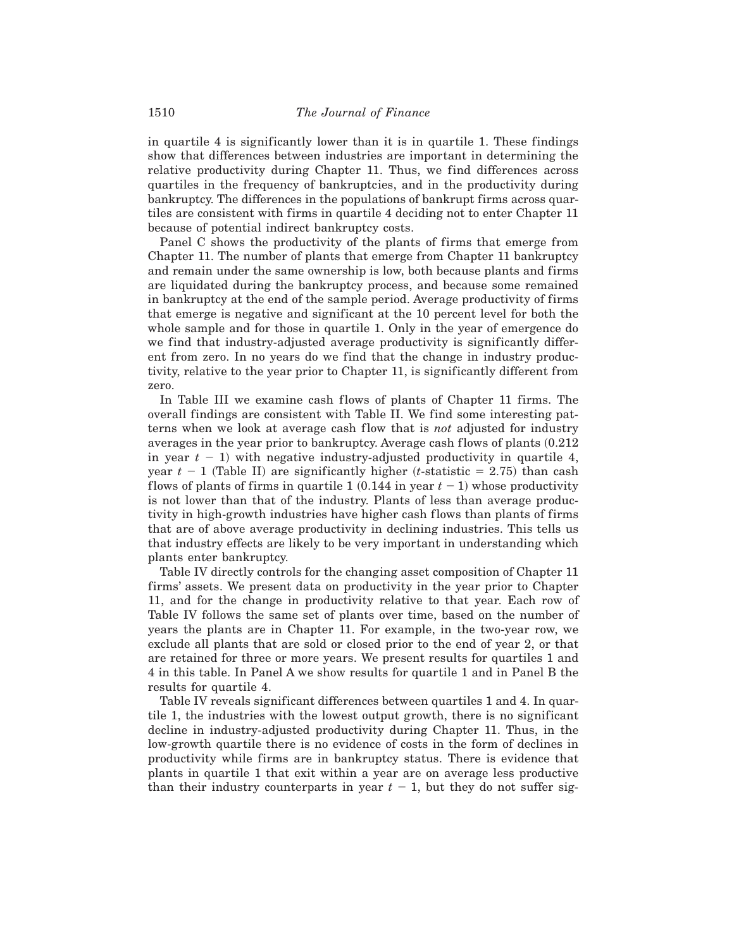in quartile 4 is significantly lower than it is in quartile 1. These findings show that differences between industries are important in determining the relative productivity during Chapter 11. Thus, we find differences across quartiles in the frequency of bankruptcies, and in the productivity during bankruptcy. The differences in the populations of bankrupt firms across quartiles are consistent with firms in quartile 4 deciding not to enter Chapter 11 because of potential indirect bankruptcy costs.

Panel C shows the productivity of the plants of firms that emerge from Chapter 11. The number of plants that emerge from Chapter 11 bankruptcy and remain under the same ownership is low, both because plants and firms are liquidated during the bankruptcy process, and because some remained in bankruptcy at the end of the sample period. Average productivity of firms that emerge is negative and significant at the 10 percent level for both the whole sample and for those in quartile 1. Only in the year of emergence do we find that industry-adjusted average productivity is significantly different from zero. In no years do we find that the change in industry productivity, relative to the year prior to Chapter 11, is significantly different from zero.

In Table III we examine cash flows of plants of Chapter 11 firms. The overall findings are consistent with Table II. We find some interesting patterns when we look at average cash flow that is *not* adjusted for industry averages in the year prior to bankruptcy. Average cash flows of plants  $(0.212)$ in year  $t - 1$ ) with negative industry-adjusted productivity in quartile 4, year  $t - 1$  (Table II) are significantly higher  $(t\text{-statistic} = 2.75)$  than cash flows of plants of firms in quartile 1  $(0.144$  in year  $t - 1$ ) whose productivity is not lower than that of the industry. Plants of less than average productivity in high-growth industries have higher cash flows than plants of firms that are of above average productivity in declining industries. This tells us that industry effects are likely to be very important in understanding which plants enter bankruptcy.

Table IV directly controls for the changing asset composition of Chapter 11 firms' assets. We present data on productivity in the year prior to Chapter 11, and for the change in productivity relative to that year. Each row of Table IV follows the same set of plants over time, based on the number of years the plants are in Chapter 11. For example, in the two-year row, we exclude all plants that are sold or closed prior to the end of year 2, or that are retained for three or more years. We present results for quartiles 1 and 4 in this table. In Panel A we show results for quartile 1 and in Panel B the results for quartile 4.

Table IV reveals significant differences between quartiles 1 and 4. In quartile 1, the industries with the lowest output growth, there is no significant decline in industry-adjusted productivity during Chapter 11. Thus, in the low-growth quartile there is no evidence of costs in the form of declines in productivity while firms are in bankruptcy status. There is evidence that plants in quartile 1 that exit within a year are on average less productive than their industry counterparts in year  $t - 1$ , but they do not suffer sig-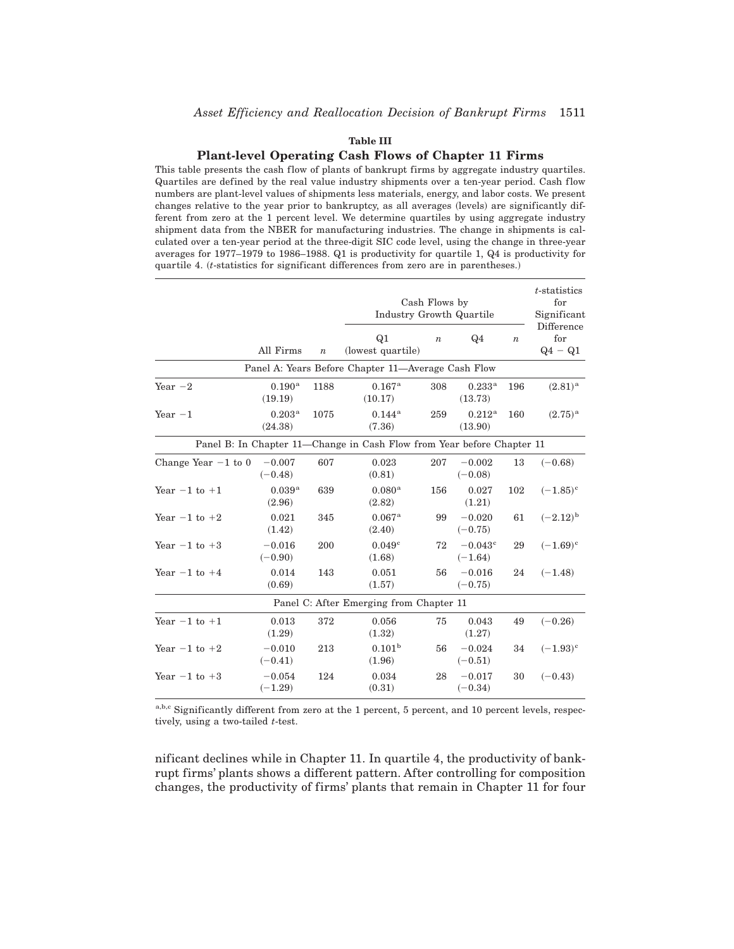### **Table III**

### **Plant-level Operating Cash Flows of Chapter 11 Firms**

This table presents the cash flow of plants of bankrupt firms by aggregate industry quartiles. Quartiles are defined by the real value industry shipments over a ten-year period. Cash flow numbers are plant-level values of shipments less materials, energy, and labor costs. We present changes relative to the year prior to bankruptcy, as all averages (levels) are significantly different from zero at the 1 percent level. We determine quartiles by using aggregate industry shipment data from the NBER for manufacturing industries. The change in shipments is calculated over a ten-year period at the three-digit SIC code level, using the change in three-year averages for 1977–1979 to 1986–1988. Q1 is productivity for quartile 1, Q4 is productivity for quartile 4. (*t*-statistics for significant differences from zero are in parentheses.)

|                       |                                |                  | Cash Flows by<br>Industry Growth Quartile                              |                  |                               |                  | $t$ -statistics<br>for<br>Significant |
|-----------------------|--------------------------------|------------------|------------------------------------------------------------------------|------------------|-------------------------------|------------------|---------------------------------------|
|                       | All Firms                      | $\boldsymbol{n}$ | Q <sub>1</sub><br>(lowest quartile)                                    | $\boldsymbol{n}$ | Q <sub>4</sub>                | $\boldsymbol{n}$ | Difference<br>for<br>$Q4 - Q1$        |
|                       |                                |                  | Panel A: Years Before Chapter 11—Average Cash Flow                     |                  |                               |                  |                                       |
| Year $-2$             | $0.190^{\rm a}$<br>(19.19)     | 1188             | $0.167^{\rm a}$<br>(10.17)                                             | 308              | $0.233^{\rm a}$<br>(13.73)    | 196              | $(2.81)^{a}$                          |
| Year $-1$             | $0.203^{\rm a}$<br>(24.38)     | 1075             | $0.144^{\rm a}$<br>(7.36)                                              | 259              | $0.212^{\rm a}$<br>(13.90)    | 160              | $(2.75)^{a}$                          |
|                       |                                |                  | Panel B: In Chapter 11—Change in Cash Flow from Year before Chapter 11 |                  |                               |                  |                                       |
| Change Year $-1$ to 0 | $-0.007$<br>$(-0.48)$          | 607              | 0.023<br>(0.81)                                                        | 207              | $-0.002$<br>$(-0.08)$         | 13               | $(-0.68)$                             |
| Year $-1$ to $+1$     | $0.039$ <sup>a</sup><br>(2.96) | 639              | $0.080^{\rm a}$<br>(2.82)                                              | 156              | 0.027<br>(1.21)               | 102              | $(-1.85)^{\circ}$                     |
| Year $-1$ to $+2$     | 0.021<br>(1.42)                | 345              | $0.067^{\rm a}$<br>(2.40)                                              | 99               | $-0.020$<br>$(-0.75)$         | 61               | $(-2.12)^{b}$                         |
| Year $-1$ to $+3$     | $-0.016$<br>$(-0.90)$          | 200              | 0.049 <sup>c</sup><br>(1.68)                                           | 72               | $-0.043^{\circ}$<br>$(-1.64)$ | 29               | $(-1.69)^c$                           |
| Year $-1$ to $+4$     | 0.014<br>(0.69)                | 143              | 0.051<br>(1.57)                                                        | 56               | $-0.016$<br>$(-0.75)$         | 24               | $(-1.48)$                             |
|                       |                                |                  | Panel C: After Emerging from Chapter 11                                |                  |                               |                  |                                       |
| Year $-1$ to $+1$     | 0.013<br>(1.29)                | 372              | 0.056<br>(1.32)                                                        | 75               | 0.043<br>(1.27)               | 49               | $(-0.26)$                             |
| Year $-1$ to $+2$     | $-0.010$<br>$(-0.41)$          | 213              | 0.101 <sup>b</sup><br>(1.96)                                           | 56               | $-0.024$<br>$(-0.51)$         | 34               | $(-1.93)^{\circ}$                     |
| Year $-1$ to $+3$     | $-0.054$<br>$(-1.29)$          | 124              | 0.034<br>(0.31)                                                        | 28               | $-0.017$<br>$(-0.34)$         | 30               | $(-0.43)$                             |

a,b,c Significantly different from zero at the 1 percent, 5 percent, and 10 percent levels, respectively, using a two-tailed *t*-test.

nificant declines while in Chapter 11. In quartile 4, the productivity of bankrupt firms' plants shows a different pattern. After controlling for composition changes, the productivity of firms' plants that remain in Chapter 11 for four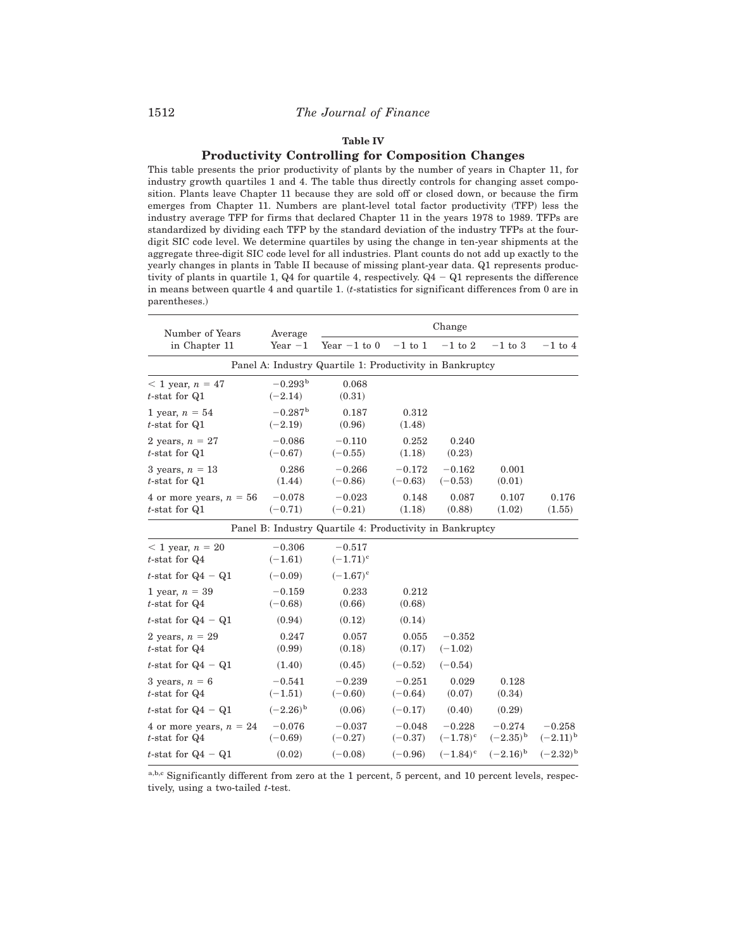### **Table IV**

### **Productivity Controlling for Composition Changes**

This table presents the prior productivity of plants by the number of years in Chapter 11, for industry growth quartiles 1 and 4. The table thus directly controls for changing asset composition. Plants leave Chapter 11 because they are sold off or closed down, or because the firm emerges from Chapter 11. Numbers are plant-level total factor productivity (TFP) less the industry average TFP for firms that declared Chapter 11 in the years 1978 to 1989. TFPs are standardized by dividing each TFP by the standard deviation of the industry TFPs at the fourdigit SIC code level. We determine quartiles by using the change in ten-year shipments at the aggregate three-digit SIC code level for all industries. Plant counts do not add up exactly to the yearly changes in plants in Table II because of missing plant-year data. Q1 represents productivity of plants in quartile 1,  $Q4$  for quartile 4, respectively.  $Q4 - Q1$  represents the difference in means between quartle 4 and quartile 1. (*t*-statistics for significant differences from 0 are in parentheses.)

| Number of Years                                                            | Average                       |                                                          |                       | Change                        |                           |                           |
|----------------------------------------------------------------------------|-------------------------------|----------------------------------------------------------|-----------------------|-------------------------------|---------------------------|---------------------------|
| in Chapter 11                                                              | Year $-1$                     | Year $-1$ to 0                                           | $-1$ to 1             | $-1$ to 2                     | $-1$ to 3                 | $-1$ to 4                 |
|                                                                            |                               | Panel A: Industry Quartile 1: Productivity in Bankruptcy |                       |                               |                           |                           |
| $<$ 1 year, $n = 47$<br>$t$ -stat for $Q1$                                 | $-0.293b$<br>$(-2.14)$        | 0.068<br>(0.31)                                          |                       |                               |                           |                           |
| 1 year, $n = 54$<br>$t$ -stat for $Q1$                                     | $-0.287^{\rm b}$<br>$(-2.19)$ | 0.187<br>(0.96)                                          | 0.312<br>(1.48)       |                               |                           |                           |
| 2 years, $n = 27$<br>$t$ -stat for Q1                                      | $-0.086$<br>$(-0.67)$         | $-0.110$<br>$(-0.55)$                                    | 0.252<br>(1.18)       | 0.240<br>(0.23)               |                           |                           |
| 3 years, $n = 13$<br>$t$ -stat for $Q1$                                    | 0.286<br>(1.44)               | $-0.266$<br>$(-0.86)$                                    | $-0.172$<br>$(-0.63)$ | $-0.162$<br>$(-0.53)$         | 0.001<br>(0.01)           |                           |
| 4 or more years, $n = 56$<br>$t$ -stat for Q1                              | $-0.078$<br>$(-0.71)$         | $-0.023$<br>$(-0.21)$                                    | 0.148<br>(1.18)       | 0.087<br>(0.88)               | 0.107<br>(1.02)           | 0.176<br>(1.55)           |
|                                                                            |                               | Panel B: Industry Quartile 4: Productivity in Bankruptcy |                       |                               |                           |                           |
| $<$ 1 year, $n = 20$<br>$t$ -stat for $Q4$                                 | $-0.306$<br>$(-1.61)$         | $-0.517$<br>$(-1.71)^c$                                  |                       |                               |                           |                           |
| <i>t</i> -stat for $Q4 - Q1$                                               | $(-0.09)$                     | $(-1.67)^c$                                              |                       |                               |                           |                           |
| 1 year, $n = 39$<br>$t$ -stat for $Q4$                                     | $-0.159$<br>$(-0.68)$         | 0.233<br>(0.66)                                          | 0.212<br>(0.68)       |                               |                           |                           |
| <i>t</i> -stat for $Q4 - Q1$                                               | (0.94)                        | (0.12)                                                   | (0.14)                |                               |                           |                           |
| 2 years, $n = 29$<br>$t$ -stat for $Q4$                                    | 0.247<br>(0.99)               | 0.057<br>(0.18)                                          | 0.055<br>(0.17)       | $-0.352$<br>$(-1.02)$         |                           |                           |
| <i>t</i> -stat for $Q4 - Q1$                                               | (1.40)                        | (0.45)                                                   | $(-0.52)$             | $(-0.54)$                     |                           |                           |
| 3 years, $n = 6$<br>$t\operatorname{\text{-}stat}$ for $\operatorname{Q4}$ | $-0.541$<br>$(-1.51)$         | $-0.239$<br>$(-0.60)$                                    | $-0.251$<br>$(-0.64)$ | 0.029<br>(0.07)               | 0.128<br>(0.34)           |                           |
| <i>t</i> -stat for $Q4 - Q1$                                               | $(-2.26)^{b}$                 | (0.06)                                                   | $(-0.17)$             | (0.40)                        | (0.29)                    |                           |
| 4 or more years, $n = 24$<br>$t$ -stat for $Q4$                            | $-0.076$<br>$(-0.69)$         | $-0.037$<br>$(-0.27)$                                    | $-0.048$<br>$(-0.37)$ | $-0.228$<br>$(-1.78)^{\circ}$ | $-0.274$<br>$(-2.35)^{b}$ | $-0.258$<br>$(-2.11)^{b}$ |
| <i>t</i> -stat for $Q4 - Q1$                                               | (0.02)                        | $(-0.08)$                                                | $(-0.96)$             | $(-1.84)^c$                   | $(-2.16)^{b}$             | $(-2.32)^{b}$             |

a,b,c Significantly different from zero at the 1 percent, 5 percent, and 10 percent levels, respectively, using a two-tailed *t*-test.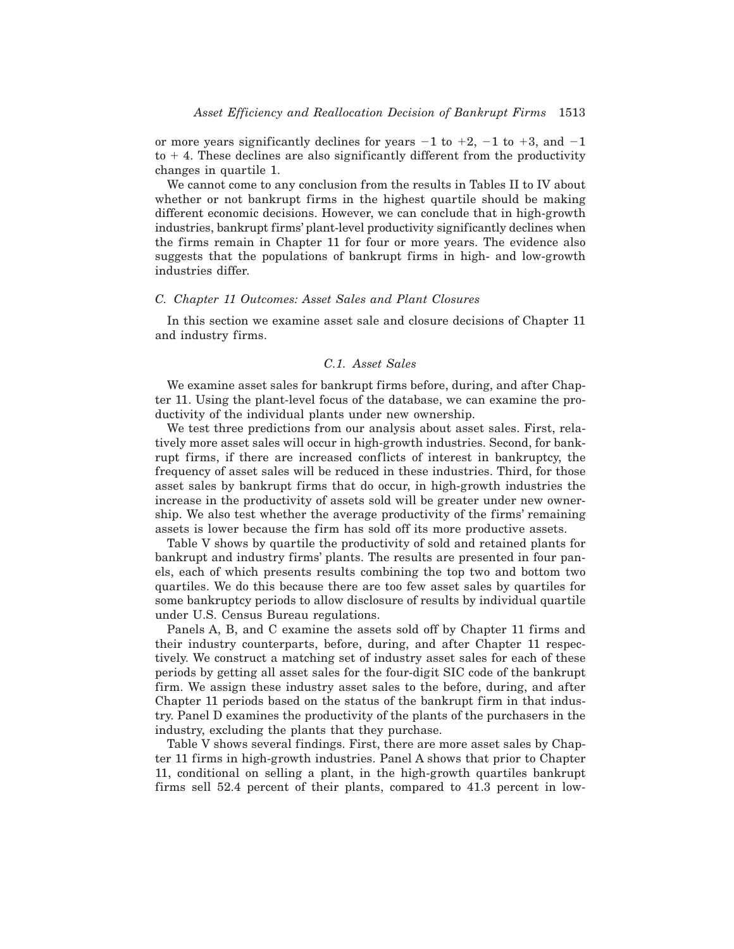or more years significantly declines for years  $-1$  to  $+2$ ,  $-1$  to  $+3$ , and  $-1$  $to + 4$ . These declines are also significantly different from the productivity changes in quartile 1.

We cannot come to any conclusion from the results in Tables II to IV about whether or not bankrupt firms in the highest quartile should be making different economic decisions. However, we can conclude that in high-growth industries, bankrupt firms' plant-level productivity significantly declines when the firms remain in Chapter 11 for four or more years. The evidence also suggests that the populations of bankrupt firms in high- and low-growth industries differ.

### *C. Chapter 11 Outcomes: Asset Sales and Plant Closures*

In this section we examine asset sale and closure decisions of Chapter 11 and industry firms.

### *C.1. Asset Sales*

We examine asset sales for bankrupt firms before, during, and after Chapter 11. Using the plant-level focus of the database, we can examine the productivity of the individual plants under new ownership.

We test three predictions from our analysis about asset sales. First, relatively more asset sales will occur in high-growth industries. Second, for bankrupt firms, if there are increased conflicts of interest in bankruptcy, the frequency of asset sales will be reduced in these industries. Third, for those asset sales by bankrupt firms that do occur, in high-growth industries the increase in the productivity of assets sold will be greater under new ownership. We also test whether the average productivity of the firms' remaining assets is lower because the firm has sold off its more productive assets.

Table V shows by quartile the productivity of sold and retained plants for bankrupt and industry firms' plants. The results are presented in four panels, each of which presents results combining the top two and bottom two quartiles. We do this because there are too few asset sales by quartiles for some bankruptcy periods to allow disclosure of results by individual quartile under U.S. Census Bureau regulations.

Panels A, B, and C examine the assets sold off by Chapter 11 firms and their industry counterparts, before, during, and after Chapter 11 respectively. We construct a matching set of industry asset sales for each of these periods by getting all asset sales for the four-digit SIC code of the bankrupt firm. We assign these industry asset sales to the before, during, and after Chapter 11 periods based on the status of the bankrupt firm in that industry. Panel D examines the productivity of the plants of the purchasers in the industry, excluding the plants that they purchase.

Table V shows several findings. First, there are more asset sales by Chapter 11 firms in high-growth industries. Panel A shows that prior to Chapter 11, conditional on selling a plant, in the high-growth quartiles bankrupt firms sell 52.4 percent of their plants, compared to 41.3 percent in low-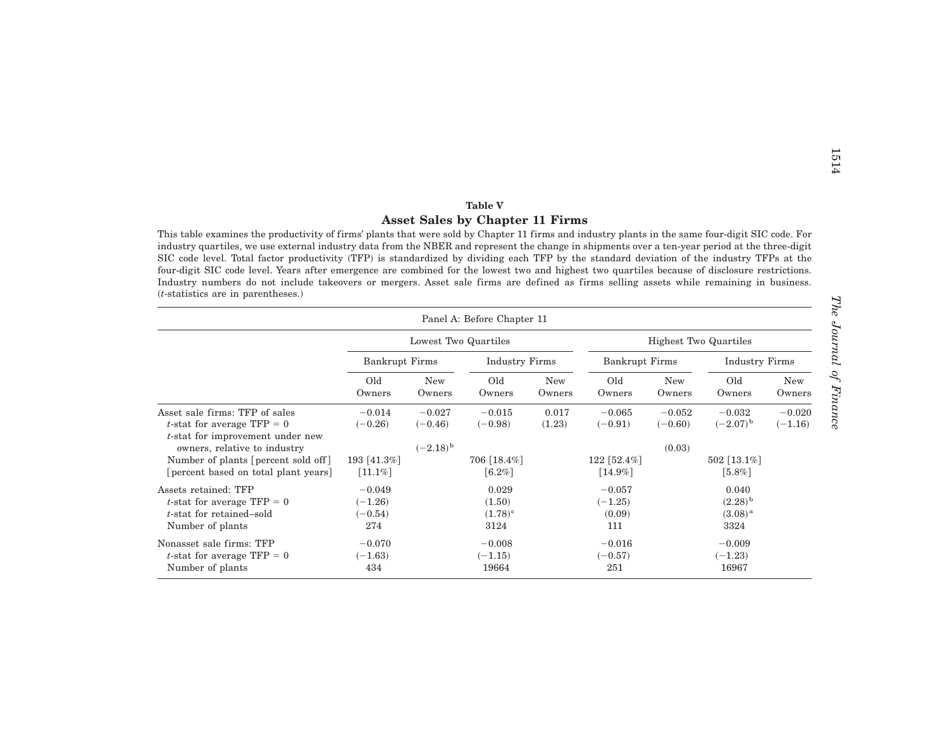### **Table V**

# **Asset Sales by Chapter 11 Firms**

This table examines the productivity of firms' plants that were sold by Chapter 11 firms and industry plants in the same four-digit SIC code. For industry quartiles, we use external industry data from the NBER and represent the change in shipments over <sup>a</sup> ten-year period at the three-digit SIC code level. Total factor productivity (TFP) is standardized by dividing each TFP by the standard deviation of the industry TFPs at the four-digit SIC code level. Years after emergence are combined for the lowest two and highest two quartiles because of disclosure restrictions. Industry numbers do not include takeovers or mergers. Asset sale firms are defined as firms selling assets while remaining in business.  $(t$ -statistics are in parentheses.)

|                                                                                                                 |                                           |                       | Panel A: Before Chapter 11            |                      |                                        |                       |                                               |                       |
|-----------------------------------------------------------------------------------------------------------------|-------------------------------------------|-----------------------|---------------------------------------|----------------------|----------------------------------------|-----------------------|-----------------------------------------------|-----------------------|
|                                                                                                                 |                                           | Lowest Two Quartiles  |                                       |                      |                                        |                       | <b>Highest Two Quartiles</b>                  |                       |
|                                                                                                                 | <b>Bankrupt Firms</b>                     |                       | <b>Industry Firms</b>                 |                      | <b>Bankrupt Firms</b>                  |                       | <b>Industry Firms</b>                         |                       |
|                                                                                                                 | Old<br>Owners                             | <b>New</b><br>Owners  | Old<br>Owners                         | <b>New</b><br>Owners | Old<br>Owners                          | <b>New</b><br>Owners  | Old<br>Owners                                 | New<br>Owners         |
| Asset sale firms: TFP of sales<br><i>t</i> -stat for average TFP = $0$<br>t-stat for improvement under new      | $-0.014$<br>$(-0.26)$                     | $-0.027$<br>$(-0.46)$ | $-0.015$<br>$(-0.98)$                 | 0.017<br>(1.23)      | $-0.065$<br>$(-0.91)$                  | $-0.052$<br>$(-0.60)$ | $-0.032$<br>$(-2.07)^{b}$                     | $-0.020$<br>$(-1.16)$ |
| owners, relative to industry<br>Number of plants [percent sold off]<br>[percent based on total plant years]     | 193 [41.3%]<br>$\lceil 11.1\% \rceil$     | $(-2.18)^{b}$         | 706 [18.4%]<br>$\lceil 6.2\% \rceil$  |                      | 122 [52.4%]<br>$\lceil 14.9\% \rceil$  | (0.03)                | $502$ [13.1%]<br>$\lceil 5.8\% \rceil$        |                       |
| Assets retained: TFP<br><i>t</i> -stat for average $TFP = 0$<br>$t$ -stat for retained-sold<br>Number of plants | $-0.049$<br>$(-1.26)$<br>$(-0.54)$<br>274 |                       | 0.029<br>(1.50)<br>$(1.78)^c$<br>3124 |                      | $-0.057$<br>$(-1.25)$<br>(0.09)<br>111 |                       | 0.040<br>$(2.28)^{b}$<br>$(3.08)^{a}$<br>3324 |                       |
| Nonasset sale firms: TFP<br><i>t</i> -stat for average TFP = $0$<br>Number of plants                            | $-0.070$<br>$(-1.63)$<br>434              |                       | $-0.008$<br>$(-1.15)$<br>19664        |                      | $-0.016$<br>$(-0.57)$<br>251           |                       | $-0.009$<br>$(-1.23)$<br>16967                |                       |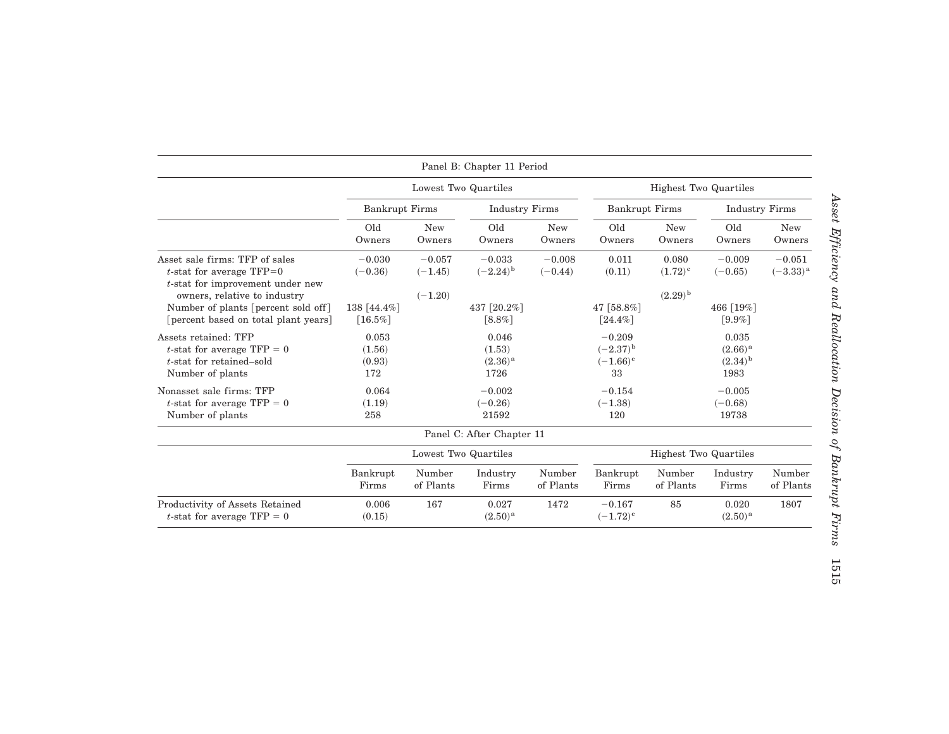|                                                                                                                 |                                                  |                       | Panel B: Chapter 11 Period              |                       |                                                |                      |                                               |                           |
|-----------------------------------------------------------------------------------------------------------------|--------------------------------------------------|-----------------------|-----------------------------------------|-----------------------|------------------------------------------------|----------------------|-----------------------------------------------|---------------------------|
|                                                                                                                 |                                                  |                       | Lowest Two Quartiles                    |                       |                                                |                      | Highest Two Quartiles                         |                           |
|                                                                                                                 | <b>Bankrupt Firms</b>                            |                       | <b>Industry Firms</b>                   |                       | <b>Bankrupt Firms</b>                          |                      | <b>Industry Firms</b>                         |                           |
|                                                                                                                 | Old<br>Owners                                    | <b>New</b><br>Owners  | Old<br>Owners                           | <b>New</b><br>Owners  | Old<br>Owners                                  | <b>New</b><br>Owners | Old<br>Owners                                 | <b>New</b><br>Owners      |
| Asset sale firms: TFP of sales<br>$t$ -stat for average TFP=0<br>$t$ -stat for improvement under new            | $-0.030$<br>$(-0.36)$                            | $-0.057$<br>$(-1.45)$ | $-0.033$<br>$(-2.24)^{b}$               | $-0.008$<br>$(-0.44)$ | 0.011<br>(0.11)                                | 0.080<br>$(1.72)^c$  | $-0.009$<br>$(-0.65)$                         | $-0.051$<br>$(-3.33)^{a}$ |
| owners, relative to industry<br>Number of plants [percent sold off]<br>[percent based on total plant years]     | 138 [44.4%]<br>$\left\lceil 16.5\% \right\rceil$ | $(-1.20)$             | 437 [20.2%]<br>$[8.8\%]$                |                       | 47 [58.8%]<br>$\lceil 24.4\% \rceil$           | $(2.29)^{\rm b}$     | 466 [19%]<br>$[9.9\%]$                        |                           |
| Assets retained: TFP<br><i>t</i> -stat for average TFP = $0$<br>$t$ -stat for retained-sold<br>Number of plants | 0.053<br>(1.56)<br>(0.93)<br>172                 |                       | 0.046<br>(1.53)<br>$(2.36)^{a}$<br>1726 |                       | $-0.209$<br>$(-2.37)^{b}$<br>$(-1.66)^c$<br>33 |                      | 0.035<br>$(2.66)^{a}$<br>$(2.34)^{b}$<br>1983 |                           |
| Nonasset sale firms: TFP<br><i>t</i> -stat for average TFP = 0<br>Number of plants                              | 0.064<br>(1.19)<br>258                           |                       | $-0.002$<br>$(-0.26)$<br>21592          |                       | $-0.154$<br>$(-1.38)$<br>120                   |                      | $-0.005$<br>$(-0.68)$<br>19738                |                           |
|                                                                                                                 |                                                  |                       | Panel C: After Chapter 11               |                       |                                                |                      |                                               |                           |
|                                                                                                                 |                                                  |                       | Lowest Two Quartiles                    |                       |                                                |                      | <b>Highest Two Quartiles</b>                  |                           |
|                                                                                                                 | Bankrupt<br>Firms                                | Number<br>of Plants   | Industry<br>Firms                       | Number<br>of Plants   | Bankrupt<br>Firms                              | Number<br>of Plants  | Industry<br>Firms                             | Number<br>of Plants       |
| Productivity of Assets Retained<br><i>t</i> -stat for average TFP = $0$                                         | 0.006<br>(0.15)                                  | 167                   | 0.027<br>$(2.50)^{a}$                   | 1472                  | $-0.167$<br>$(-1.72)^c$                        | 85                   | 0.020<br>$(2.50)^{a}$                         | 1807                      |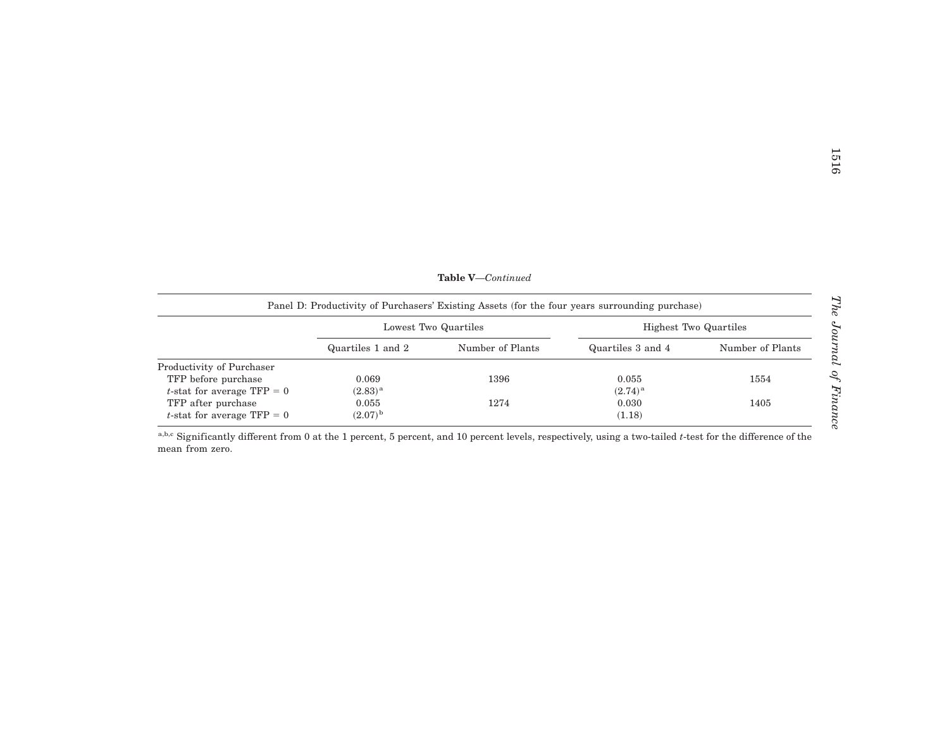| Panel D: Productivity of Purchasers' Existing Assets (for the four years surrounding purchase)<br>Highest Two Quartiles<br>Lowest Two Quartiles |                   |                  |                   |                  |  |  |  |
|-------------------------------------------------------------------------------------------------------------------------------------------------|-------------------|------------------|-------------------|------------------|--|--|--|
|                                                                                                                                                 | Quartiles 1 and 2 | Number of Plants | Quartiles 3 and 4 | Number of Plants |  |  |  |
| Productivity of Purchaser                                                                                                                       |                   |                  |                   |                  |  |  |  |
| TFP before purchase                                                                                                                             | 0.069             | 1396             | 0.055             | 1554             |  |  |  |
| <i>t</i> -stat for average TFP = $0$                                                                                                            | $(2.83)^{a}$      |                  | $(2.74)^{a}$      |                  |  |  |  |
| TFP after purchase                                                                                                                              | 0.055             | 1274             | 0.030             | 1405             |  |  |  |
| <i>t</i> -stat for average TFP = $0$                                                                                                            | $(2.07)^{b}$      |                  | (1.18)            |                  |  |  |  |

**Table V***—Continued*

a,b,c Significantly different from 0 at the 1 percent, 5 percent, and 10 percent levels, respectively, using a two-tailed *t*-test for the difference of the mean from zero.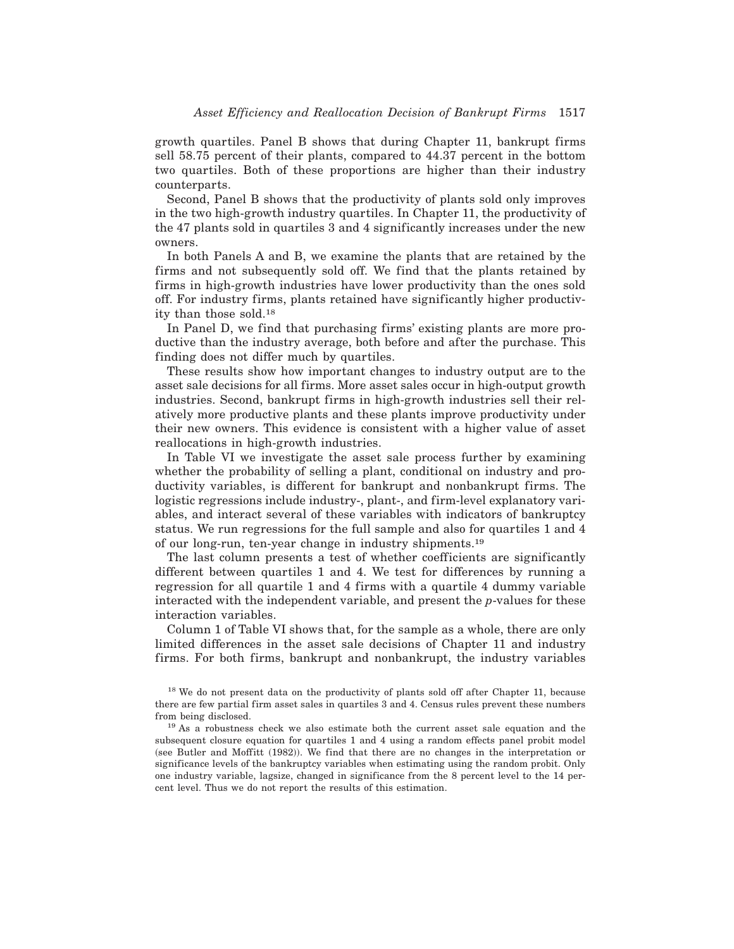growth quartiles. Panel B shows that during Chapter 11, bankrupt firms sell 58.75 percent of their plants, compared to 44.37 percent in the bottom two quartiles. Both of these proportions are higher than their industry counterparts.

Second, Panel B shows that the productivity of plants sold only improves in the two high-growth industry quartiles. In Chapter 11, the productivity of the 47 plants sold in quartiles 3 and 4 significantly increases under the new owners.

In both Panels A and B, we examine the plants that are retained by the firms and not subsequently sold off. We find that the plants retained by firms in high-growth industries have lower productivity than the ones sold off. For industry firms, plants retained have significantly higher productivity than those sold.18

In Panel D, we find that purchasing firms' existing plants are more productive than the industry average, both before and after the purchase. This finding does not differ much by quartiles.

These results show how important changes to industry output are to the asset sale decisions for all firms. More asset sales occur in high-output growth industries. Second, bankrupt firms in high-growth industries sell their relatively more productive plants and these plants improve productivity under their new owners. This evidence is consistent with a higher value of asset reallocations in high-growth industries.

In Table VI we investigate the asset sale process further by examining whether the probability of selling a plant, conditional on industry and productivity variables, is different for bankrupt and nonbankrupt firms. The logistic regressions include industry-, plant-, and firm-level explanatory variables, and interact several of these variables with indicators of bankruptcy status. We run regressions for the full sample and also for quartiles 1 and 4 of our long-run, ten-year change in industry shipments.19

The last column presents a test of whether coefficients are significantly different between quartiles 1 and 4. We test for differences by running a regression for all quartile 1 and 4 firms with a quartile 4 dummy variable interacted with the independent variable, and present the *p*-values for these interaction variables.

Column 1 of Table VI shows that, for the sample as a whole, there are only limited differences in the asset sale decisions of Chapter 11 and industry firms. For both firms, bankrupt and nonbankrupt, the industry variables

<sup>18</sup> We do not present data on the productivity of plants sold off after Chapter 11, because there are few partial firm asset sales in quartiles 3 and 4. Census rules prevent these numbers from being disclosed.

<sup>19</sup> As a robustness check we also estimate both the current asset sale equation and the subsequent closure equation for quartiles 1 and 4 using a random effects panel probit model (see Butler and Moffitt (1982)). We find that there are no changes in the interpretation or significance levels of the bankruptcy variables when estimating using the random probit. Only one industry variable, lagsize, changed in significance from the 8 percent level to the 14 percent level. Thus we do not report the results of this estimation.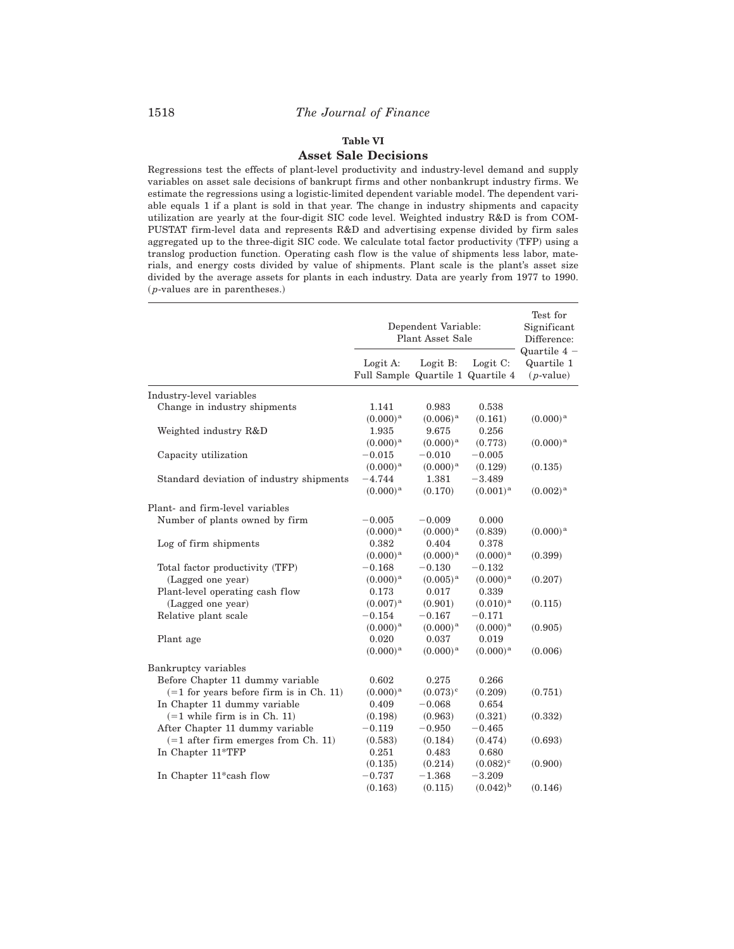### **Table VI**

### **Asset Sale Decisions**

Regressions test the effects of plant-level productivity and industry-level demand and supply variables on asset sale decisions of bankrupt firms and other nonbankrupt industry firms. We estimate the regressions using a logistic-limited dependent variable model. The dependent variable equals 1 if a plant is sold in that year. The change in industry shipments and capacity utilization are yearly at the four-digit SIC code level. Weighted industry R&D is from COM-PUSTAT firm-level data and represents R&D and advertising expense divided by firm sales aggregated up to the three-digit SIC code. We calculate total factor productivity (TFP) using a translog production function. Operating cash flow is the value of shipments less labor, materials, and energy costs divided by value of shipments. Plant scale is the plant's asset size divided by the average assets for plants in each industry. Data are yearly from 1977 to 1990. (*p*-values are in parentheses.)

|                                           | Dependent Variable:<br><b>Plant Asset Sale</b> |                                    | Test for<br>Significant<br>Difference:<br>Quartile $4-$ |                            |
|-------------------------------------------|------------------------------------------------|------------------------------------|---------------------------------------------------------|----------------------------|
|                                           | Logit A:<br>Full Sample Quartile 1 Quartile 4  | Logit B:                           | Logit C:                                                | Quartile 1<br>$(p$ -value) |
| Industry-level variables                  |                                                |                                    |                                                         |                            |
| Change in industry shipments              | 1.141<br>$(0.000)$ <sup>a</sup>                | 0.983<br>$(0.006)$ <sup>a</sup>    | 0.538<br>(0.161)                                        | $(0.000)$ <sup>a</sup>     |
| Weighted industry R&D                     | 1.935<br>$(0.000)$ <sup>a</sup>                | 9.675<br>$(0.000)$ <sup>a</sup>    | 0.256<br>(0.773)                                        | $(0.000)$ <sup>a</sup>     |
| Capacity utilization                      | $-0.015$<br>$(0.000)$ <sup>a</sup>             | $-0.010$<br>$(0.000)$ <sup>a</sup> | $-0.005$<br>(0.129)                                     | (0.135)                    |
| Standard deviation of industry shipments  | $-4.744$<br>$(0.000)$ <sup>a</sup>             | 1.381<br>(0.170)                   | $-3.489$<br>$(0.001)^{a}$                               | $(0.002)^{a}$              |
| Plant- and firm-level variables           |                                                |                                    |                                                         |                            |
| Number of plants owned by firm            | $-0.005$<br>$(0.000)$ <sup>a</sup>             | $-0.009$<br>$(0.000)$ <sup>a</sup> | 0.000<br>(0.839)                                        | $(0.000)$ <sup>a</sup>     |
| Log of firm shipments                     | 0.382                                          | 0.404                              | 0.378                                                   |                            |
|                                           | $(0.000)$ <sup>a</sup>                         | $(0.000)$ <sup>a</sup>             | $(0.000)$ <sup>a</sup>                                  | (0.399)                    |
| Total factor productivity (TFP)           | $-0.168$                                       | $-0.130$                           | $-0.132$                                                |                            |
| (Lagged one year)                         | $(0.000)$ <sup>a</sup>                         | $(0.005)^{a}$                      | $(0.000)$ <sup>a</sup>                                  | (0.207)                    |
| Plant-level operating cash flow           | 0.173                                          | 0.017                              | 0.339                                                   |                            |
| (Lagged one year)                         | $(0.007)^{a}$                                  | (0.901)                            | $(0.010)$ <sup>a</sup>                                  | (0.115)                    |
| Relative plant scale                      | $-0.154$                                       | $-0.167$                           | $-0.171$                                                |                            |
|                                           | $(0.000)$ <sup>a</sup>                         | $(0.000)$ <sup>a</sup>             | $(0.000)$ <sup>a</sup>                                  | (0.905)                    |
| Plant age                                 | 0.020                                          | 0.037                              | 0.019                                                   |                            |
|                                           | $(0.000)$ <sup>a</sup>                         | $(0.000)$ <sup>a</sup>             | $(0.000)$ <sup>a</sup>                                  | (0.006)                    |
| Bankruptcy variables                      |                                                |                                    |                                                         |                            |
| Before Chapter 11 dummy variable          | 0.602                                          | 0.275                              | 0.266                                                   |                            |
| $(=1$ for years before firm is in Ch. 11) | $(0.000)$ <sup>a</sup>                         | $(0.073)^c$                        | (0.209)                                                 | (0.751)                    |
| In Chapter 11 dummy variable              | 0.409                                          | $-0.068$                           | 0.654                                                   |                            |
| $(=1$ while firm is in Ch. 11)            | (0.198)                                        | (0.963)                            | (0.321)                                                 | (0.332)                    |
| After Chapter 11 dummy variable           | $-0.119$                                       | $-0.950$                           | $-0.465$                                                |                            |
| $(=1$ after firm emerges from Ch. 11)     | (0.583)                                        | (0.184)                            | (0.474)                                                 | (0.693)                    |
| In Chapter 11*TFP                         | 0.251                                          | 0.483                              | 0.680                                                   |                            |
|                                           | (0.135)                                        | (0.214)                            | $(0.082)^{\circ}$                                       | (0.900)                    |
| In Chapter 11*cash flow                   | $-0.737$                                       | $-1.368$                           | $-3.209$                                                |                            |
|                                           | (0.163)                                        | (0.115)                            | $(0.042)$ <sup>b</sup>                                  | (0.146)                    |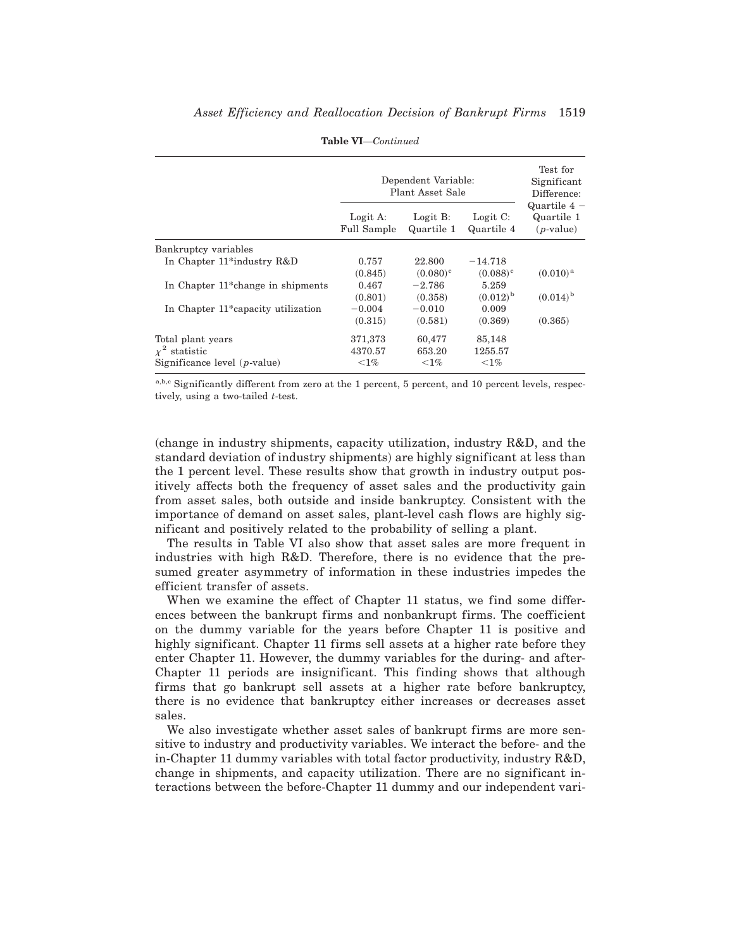|                                                 | Dependent Variable:<br>Plant Asset Sale | Test for<br>Significant<br>Difference: |                           |                                            |
|-------------------------------------------------|-----------------------------------------|----------------------------------------|---------------------------|--------------------------------------------|
|                                                 | Logit A:<br>Full Sample                 | Logit $B$ :<br>Quartile 1              | Logit $C$ :<br>Quartile 4 | Quartile $4-$<br>Quartile 1<br>$(p-value)$ |
| Bankruptcy variables                            |                                         |                                        |                           |                                            |
| In Chapter 11*industry R&D                      | 0.757                                   | 22.800                                 | $-14.718$                 |                                            |
|                                                 | (0.845)                                 | $(0.080)$ <sup>c</sup>                 | $(0.088)^c$               | $(0.010)$ <sup>a</sup>                     |
| In Chapter 11 <sup>*</sup> change in shipments  | 0.467                                   | $-2.786$                               | 5.259                     |                                            |
|                                                 | (0.801)                                 | (0.358)                                | $(0.012)^{b}$             | $(0.014)$ <sup>b</sup>                     |
| In Chapter 11 <sup>*</sup> capacity utilization | $-0.004$                                | $-0.010$                               | 0.009                     |                                            |
|                                                 | (0.315)                                 | (0.581)                                | (0.369)                   | (0.365)                                    |
| Total plant years                               | 371,373                                 | 60,477                                 | 85,148                    |                                            |
| $x^2$ statistic                                 | 4370.57                                 | 653.20                                 | 1255.57                   |                                            |
| Significance level $(p$ -value)                 | ${<}1\%$                                | $< 1\%$                                | ${<}1\%$                  |                                            |

**Table VI***—Continued*

a,b,c Significantly different from zero at the 1 percent, 5 percent, and 10 percent levels, respectively, using a two-tailed *t*-test.

 $(change in industry shipments, capacity utilization, industry R&D, and the$ standard deviation of industry shipments) are highly significant at less than the 1 percent level. These results show that growth in industry output positively affects both the frequency of asset sales and the productivity gain from asset sales, both outside and inside bankruptcy. Consistent with the importance of demand on asset sales, plant-level cash flows are highly significant and positively related to the probability of selling a plant.

The results in Table VI also show that asset sales are more frequent in industries with high R&D. Therefore, there is no evidence that the presumed greater asymmetry of information in these industries impedes the efficient transfer of assets.

When we examine the effect of Chapter 11 status, we find some differences between the bankrupt firms and nonbankrupt firms. The coefficient on the dummy variable for the years before Chapter 11 is positive and highly significant. Chapter 11 firms sell assets at a higher rate before they enter Chapter 11. However, the dummy variables for the during- and after-Chapter 11 periods are insignificant. This finding shows that although firms that go bankrupt sell assets at a higher rate before bankruptcy, there is no evidence that bankruptcy either increases or decreases asset sales.

We also investigate whether asset sales of bankrupt firms are more sensitive to industry and productivity variables. We interact the before- and the in-Chapter 11 dummy variables with total factor productivity, industry R&D, change in shipments, and capacity utilization. There are no significant interactions between the before-Chapter 11 dummy and our independent vari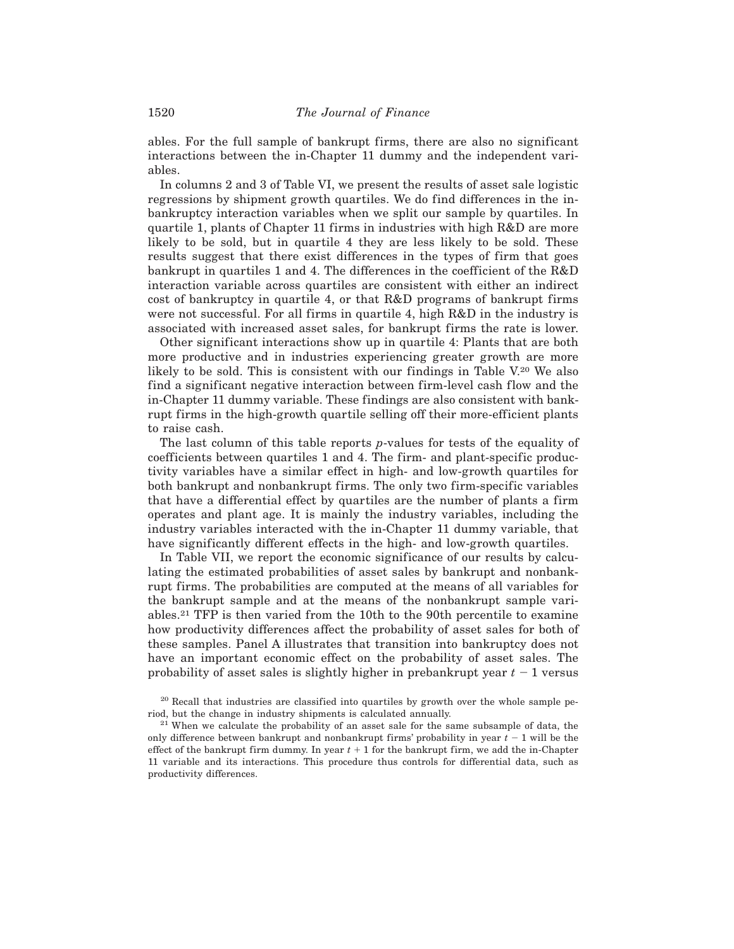ables. For the full sample of bankrupt firms, there are also no significant interactions between the in-Chapter 11 dummy and the independent variables.

In columns 2 and 3 of Table VI, we present the results of asset sale logistic regressions by shipment growth quartiles. We do find differences in the inbankruptcy interaction variables when we split our sample by quartiles. In quartile 1, plants of Chapter 11 firms in industries with high R&D are more likely to be sold, but in quartile 4 they are less likely to be sold. These results suggest that there exist differences in the types of firm that goes bankrupt in quartiles 1 and 4. The differences in the coefficient of the R&D interaction variable across quartiles are consistent with either an indirect cost of bankruptcy in quartile 4, or that R&D programs of bankrupt firms were not successful. For all firms in quartile 4, high R&D in the industry is associated with increased asset sales, for bankrupt firms the rate is lower.

Other significant interactions show up in quartile 4: Plants that are both more productive and in industries experiencing greater growth are more likely to be sold. This is consistent with our findings in Table V.20 We also find a significant negative interaction between firm-level cash flow and the in-Chapter 11 dummy variable. These findings are also consistent with bankrupt firms in the high-growth quartile selling off their more-efficient plants to raise cash.

The last column of this table reports *p*-values for tests of the equality of coefficients between quartiles 1 and 4. The firm- and plant-specific productivity variables have a similar effect in high- and low-growth quartiles for both bankrupt and nonbankrupt firms. The only two firm-specific variables that have a differential effect by quartiles are the number of plants a firm operates and plant age. It is mainly the industry variables, including the industry variables interacted with the in-Chapter 11 dummy variable, that have significantly different effects in the high- and low-growth quartiles.

In Table VII, we report the economic significance of our results by calculating the estimated probabilities of asset sales by bankrupt and nonbankrupt firms. The probabilities are computed at the means of all variables for the bankrupt sample and at the means of the nonbankrupt sample variables.21 TFP is then varied from the 10th to the 90th percentile to examine how productivity differences affect the probability of asset sales for both of these samples. Panel A illustrates that transition into bankruptcy does not have an important economic effect on the probability of asset sales. The probability of asset sales is slightly higher in prebankrupt year  $t-1$  versus

<sup>&</sup>lt;sup>20</sup> Recall that industries are classified into quartiles by growth over the whole sample period, but the change in industry shipments is calculated annually.

 $21$  When we calculate the probability of an asset sale for the same subsample of data, the only difference between bankrupt and nonbankrupt firms' probability in year  $t-1$  will be the effect of the bankrupt firm dummy. In year  $t + 1$  for the bankrupt firm, we add the in-Chapter 11 variable and its interactions. This procedure thus controls for differential data, such as productivity differences.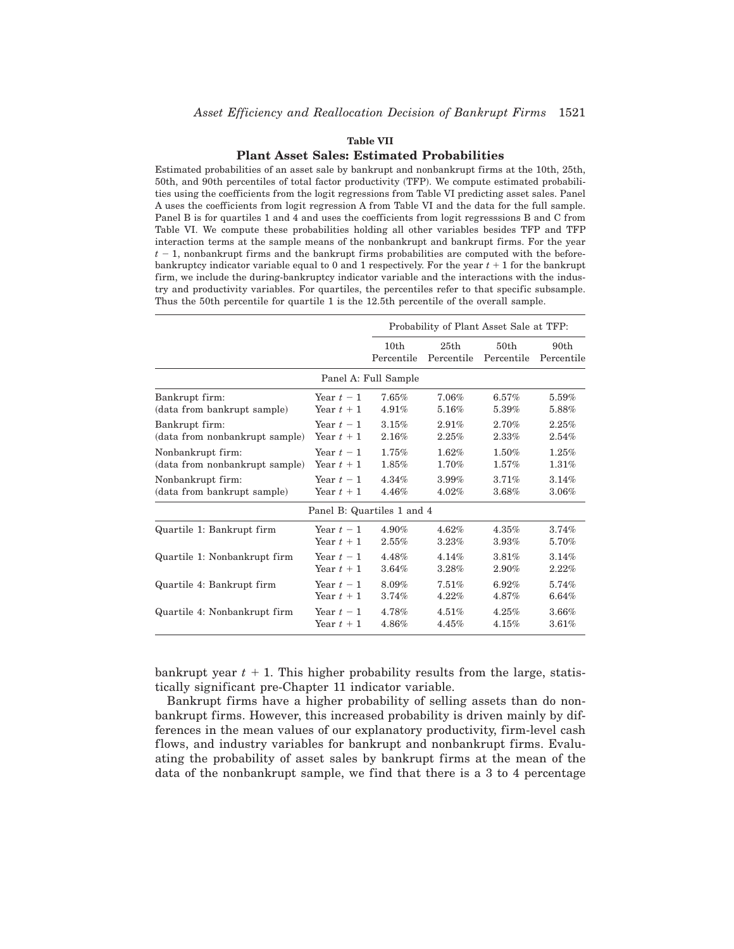#### **Table VII**

#### **Plant Asset Sales: Estimated Probabilities**

Estimated probabilities of an asset sale by bankrupt and nonbankrupt firms at the 10th, 25th, 50th, and 90th percentiles of total factor productivity (TFP). We compute estimated probabilities using the coefficients from the logit regressions from Table VI predicting asset sales. Panel A uses the coefficients from logit regression A from Table VI and the data for the full sample. Panel B is for quartiles 1 and 4 and uses the coefficients from logit regresssions B and C from Table VI. We compute these probabilities holding all other variables besides TFP and TFP interaction terms at the sample means of the nonbankrupt and bankrupt firms. For the year  $t-1$ , nonbankrupt firms and the bankrupt firms probabilities are computed with the beforebankruptcy indicator variable equal to 0 and 1 respectively. For the year  $t + 1$  for the bankrupt firm, we include the during-bankruptcy indicator variable and the interactions with the industry and productivity variables. For quartiles, the percentiles refer to that specific subsample. Thus the 50th percentile for quartile 1 is the 12.5th percentile of the overall sample.

|                                |            | Probability of Plant Asset Sale at TFP: |                    |                                |                                |  |
|--------------------------------|------------|-----------------------------------------|--------------------|--------------------------------|--------------------------------|--|
|                                |            | 10 <sub>th</sub><br>Percentile          | 25th<br>Percentile | 50 <sub>th</sub><br>Percentile | 90 <sub>th</sub><br>Percentile |  |
|                                |            | Panel A: Full Sample                    |                    |                                |                                |  |
| Bankrupt firm:                 | Year $t-1$ | 7.65%                                   | 7.06%              | 6.57%                          | 5.59%                          |  |
| (data from bankrupt sample)    | Year $t+1$ | 4.91%                                   | 5.16%              | 5.39%                          | 5.88%                          |  |
| Bankrupt firm:                 | Year $t-1$ | 3.15%                                   | 2.91%              | 2.70%                          | 2.25%                          |  |
| (data from nonbankrupt sample) | Year $t+1$ | 2.16%                                   | 2.25%              | 2.33%                          | 2.54%                          |  |
| Nonbankrupt firm:              | Year $t-1$ | 1.75%                                   | 1.62%              | 1.50%                          | 1.25%                          |  |
| (data from nonbankrupt sample) | Year $t+1$ | $1.85\%$                                | 1.70%              | $1.57\%$                       | 1.31%                          |  |
| Nonbankrupt firm:              | Year $t-1$ | 4.34%                                   | 3.99%              | 3.71%                          | 3.14%                          |  |
| (data from bankrupt sample)    | Year $t+1$ | 4.46%                                   | 4.02%              | 3.68%                          | 3.06%                          |  |
|                                |            | Panel B: Quartiles 1 and 4              |                    |                                |                                |  |
| Quartile 1: Bankrupt firm      | Year $t-1$ | 4.90%                                   | 4.62%              | 4.35%                          | 3.74%                          |  |
|                                | Year $t+1$ | 2.55%                                   | 3.23%              | 3.93%                          | 5.70%                          |  |
| Quartile 1: Nonbankrupt firm   | Year $t-1$ | 4.48%                                   | 4.14%              | 3.81%                          | 3.14%                          |  |
|                                | Year $t+1$ | 3.64%                                   | 3.28%              | $2.90\%$                       | 2.22%                          |  |
| Quartile 4: Bankrupt firm      | Year $t-1$ | 8.09%                                   | 7.51%              | 6.92%                          | 5.74%                          |  |
|                                | Year $t+1$ | 3.74%                                   | 4.22%              | 4.87%                          | 6.64%                          |  |
| Quartile 4: Nonbankrupt firm   | Year $t-1$ | 4.78%                                   | $4.51\%$           | 4.25%                          | 3.66%                          |  |
|                                | Year $t+1$ | $4.86\%$                                | 4.45%              | 4.15%                          | 3.61%                          |  |

bankrupt year  $t + 1$ . This higher probability results from the large, statistically significant pre-Chapter 11 indicator variable.

Bankrupt firms have a higher probability of selling assets than do nonbankrupt firms. However, this increased probability is driven mainly by differences in the mean values of our explanatory productivity, firm-level cash flows, and industry variables for bankrupt and nonbankrupt firms. Evaluating the probability of asset sales by bankrupt firms at the mean of the data of the nonbankrupt sample, we find that there is a 3 to 4 percentage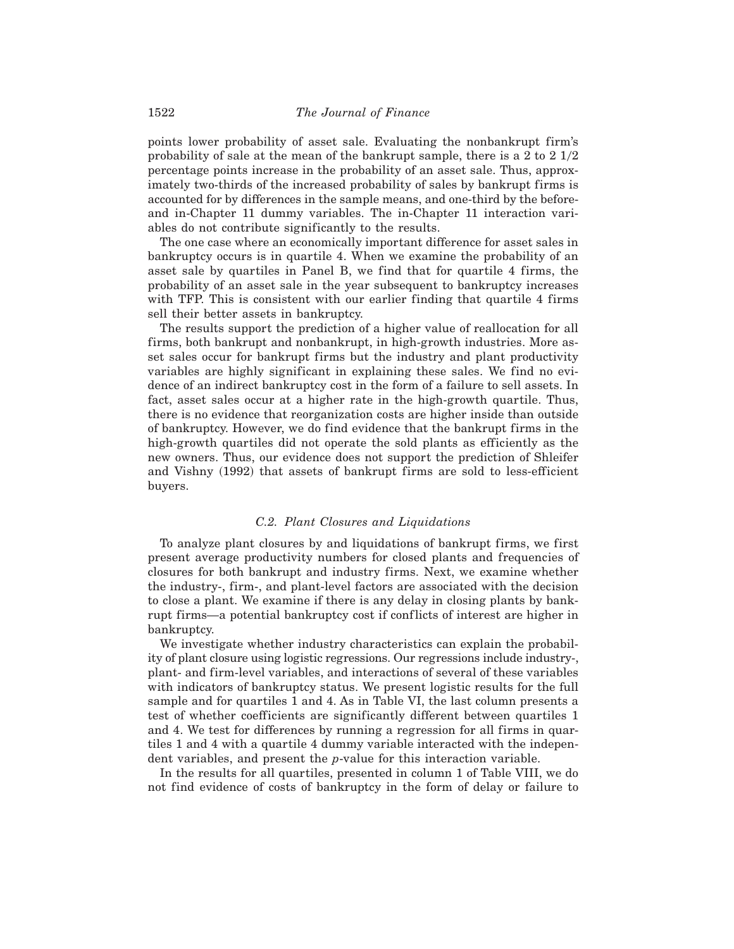points lower probability of asset sale. Evaluating the nonbankrupt firm's probability of sale at the mean of the bankrupt sample, there is a 2 to  $2\frac{1}{2}$ percentage points increase in the probability of an asset sale. Thus, approximately two-thirds of the increased probability of sales by bankrupt firms is accounted for by differences in the sample means, and one-third by the beforeand in-Chapter 11 dummy variables. The in-Chapter 11 interaction variables do not contribute significantly to the results.

The one case where an economically important difference for asset sales in bankruptcy occurs is in quartile 4. When we examine the probability of an asset sale by quartiles in Panel B, we find that for quartile 4 firms, the probability of an asset sale in the year subsequent to bankruptcy increases with TFP. This is consistent with our earlier finding that quartile 4 firms sell their better assets in bankruptcy.

The results support the prediction of a higher value of reallocation for all firms, both bankrupt and nonbankrupt, in high-growth industries. More asset sales occur for bankrupt firms but the industry and plant productivity variables are highly significant in explaining these sales. We find no evidence of an indirect bankruptcy cost in the form of a failure to sell assets. In fact, asset sales occur at a higher rate in the high-growth quartile. Thus, there is no evidence that reorganization costs are higher inside than outside of bankruptcy. However, we do find evidence that the bankrupt firms in the high-growth quartiles did not operate the sold plants as efficiently as the new owners. Thus, our evidence does not support the prediction of Shleifer and Vishny (1992) that assets of bankrupt firms are sold to less-efficient buyers.

### *C.2. Plant Closures and Liquidations*

To analyze plant closures by and liquidations of bankrupt firms, we first present average productivity numbers for closed plants and frequencies of closures for both bankrupt and industry firms. Next, we examine whether the industry-, firm-, and plant-level factors are associated with the decision to close a plant. We examine if there is any delay in closing plants by bankrupt firms—a potential bankruptcy cost if conflicts of interest are higher in bankruptcy.

We investigate whether industry characteristics can explain the probability of plant closure using logistic regressions. Our regressions include industry-, plant- and firm-level variables, and interactions of several of these variables with indicators of bankruptcy status. We present logistic results for the full sample and for quartiles 1 and 4. As in Table VI, the last column presents a test of whether coefficients are significantly different between quartiles 1 and 4. We test for differences by running a regression for all firms in quartiles 1 and 4 with a quartile 4 dummy variable interacted with the independent variables, and present the *p*-value for this interaction variable.

In the results for all quartiles, presented in column 1 of Table VIII, we do not find evidence of costs of bankruptcy in the form of delay or failure to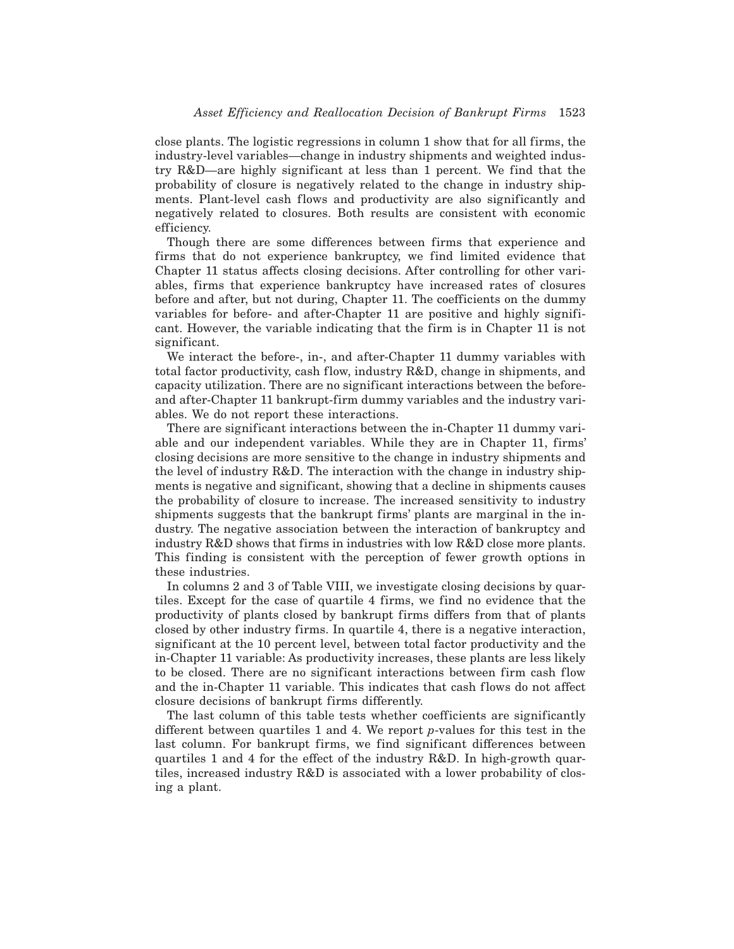close plants. The logistic regressions in column 1 show that for all firms, the industry-level variables—change in industry shipments and weighted industry R&D—are highly significant at less than 1 percent. We find that the probability of closure is negatively related to the change in industry shipments. Plant-level cash flows and productivity are also significantly and negatively related to closures. Both results are consistent with economic efficiency.

Though there are some differences between firms that experience and firms that do not experience bankruptcy, we find limited evidence that Chapter 11 status affects closing decisions. After controlling for other variables, firms that experience bankruptcy have increased rates of closures before and after, but not during, Chapter 11. The coefficients on the dummy variables for before- and after-Chapter 11 are positive and highly significant. However, the variable indicating that the firm is in Chapter 11 is not significant.

We interact the before-, in-, and after-Chapter 11 dummy variables with total factor productivity, cash flow, industry R&D, change in shipments, and capacity utilization. There are no significant interactions between the beforeand after-Chapter 11 bankrupt-firm dummy variables and the industry variables. We do not report these interactions.

There are significant interactions between the in-Chapter 11 dummy variable and our independent variables. While they are in Chapter 11, firms' closing decisions are more sensitive to the change in industry shipments and the level of industry R&D. The interaction with the change in industry shipments is negative and significant, showing that a decline in shipments causes the probability of closure to increase. The increased sensitivity to industry shipments suggests that the bankrupt firms' plants are marginal in the industry. The negative association between the interaction of bankruptcy and industry R&D shows that firms in industries with low R&D close more plants. This finding is consistent with the perception of fewer growth options in these industries.

In columns 2 and 3 of Table VIII, we investigate closing decisions by quartiles. Except for the case of quartile 4 firms, we find no evidence that the productivity of plants closed by bankrupt firms differs from that of plants closed by other industry firms. In quartile 4, there is a negative interaction, significant at the 10 percent level, between total factor productivity and the in-Chapter 11 variable: As productivity increases, these plants are less likely to be closed. There are no significant interactions between firm cash flow and the in-Chapter 11 variable. This indicates that cash flows do not affect closure decisions of bankrupt firms differently.

The last column of this table tests whether coefficients are significantly different between quartiles 1 and 4. We report *p*-values for this test in the last column. For bankrupt firms, we find significant differences between quartiles 1 and 4 for the effect of the industry R&D. In high-growth quartiles, increased industry R&D is associated with a lower probability of closing a plant.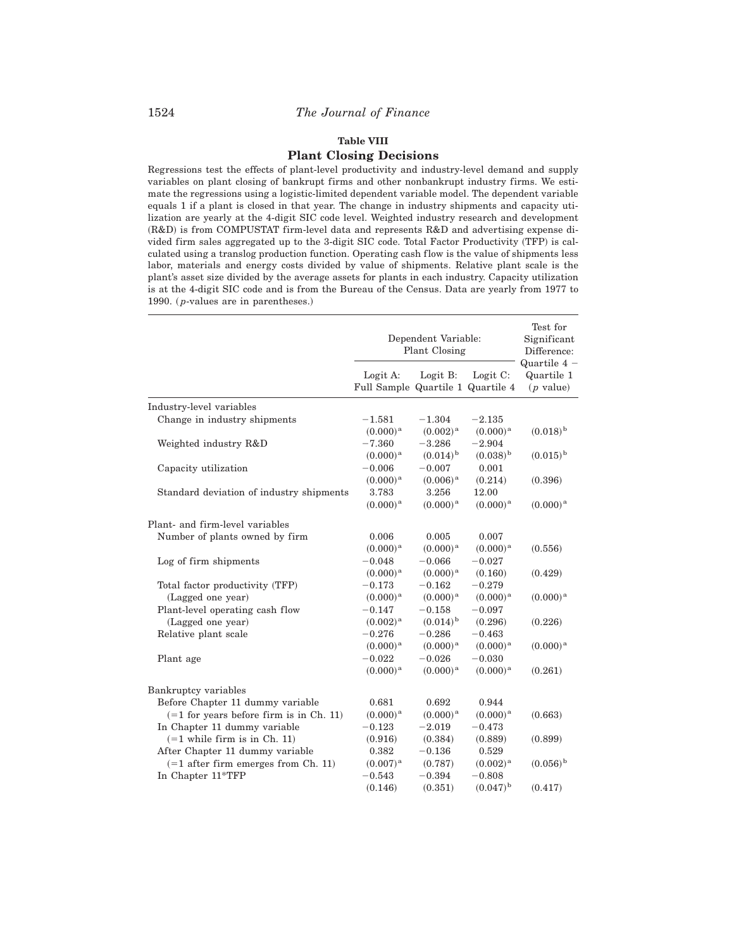# **Table VIII Plant Closing Decisions**

Regressions test the effects of plant-level productivity and industry-level demand and supply variables on plant closing of bankrupt firms and other nonbankrupt industry firms. We estimate the regressions using a logistic-limited dependent variable model. The dependent variable equals 1 if a plant is closed in that year. The change in industry shipments and capacity utilization are yearly at the 4-digit SIC code level. Weighted industry research and development  $(R&D)$  is from COMPUSTAT firm-level data and represents  $R&D$  and advertising expense divided firm sales aggregated up to the 3-digit SIC code. Total Factor Productivity (TFP) is calculated using a translog production function. Operating cash flow is the value of shipments less labor, materials and energy costs divided by value of shipments. Relative plant scale is the plant's asset size divided by the average assets for plants in each industry. Capacity utilization is at the 4-digit SIC code and is from the Bureau of the Census. Data are yearly from 1977 to 1990.  $(p$ -values are in parentheses.)

|                                                                                               | Dependent Variable:<br>Plant Closing          |                                    | Test for<br>Significant<br>Difference: |                                            |
|-----------------------------------------------------------------------------------------------|-----------------------------------------------|------------------------------------|----------------------------------------|--------------------------------------------|
|                                                                                               | Logit A:<br>Full Sample Quartile 1 Quartile 4 | Logit B:                           | Logit C:                               | Quartile $4-$<br>Quartile 1<br>$(p$ value) |
| Industry-level variables                                                                      |                                               |                                    |                                        |                                            |
| Change in industry shipments                                                                  | $-1.581$<br>$(0.000)$ <sup>a</sup>            | $-1.304$<br>$(0.002)^{a}$          | $-2.135$<br>$(0.000)$ <sup>a</sup>     | $(0.018)^{b}$                              |
| Weighted industry R&D                                                                         | $-7.360$<br>$(0.000)$ <sup>a</sup>            | $-3.286$<br>$(0.014)^{b}$          | $-2.904$<br>$(0.038)^{b}$              | $(0.015)^{b}$                              |
| Capacity utilization                                                                          | $-0.006$<br>$(0.000)$ <sup>a</sup>            | $-0.007$<br>$(0.006)$ <sup>a</sup> | 0.001<br>(0.214)                       | (0.396)                                    |
| Standard deviation of industry shipments                                                      | 3.783<br>$(0.000)$ <sup>a</sup>               | 3.256<br>$(0.000)$ <sup>a</sup>    | 12.00<br>$(0.000)$ <sup>a</sup>        | $(0.000)$ <sup>a</sup>                     |
| Plant- and firm-level variables                                                               |                                               |                                    |                                        |                                            |
| Number of plants owned by firm                                                                | 0.006<br>$(0.000)$ <sup>a</sup>               | 0.005<br>$(0.000)$ <sup>a</sup>    | 0.007<br>$(0.000)$ <sup>a</sup>        | (0.556)                                    |
| Log of firm shipments                                                                         | $-0.048$<br>$(0.000)$ <sup>a</sup>            | $-0.066$<br>$(0.000)$ <sup>a</sup> | $-0.027$<br>(0.160)                    | (0.429)                                    |
| Total factor productivity (TFP)<br>(Lagged one year)                                          | $-0.173$<br>$(0.000)$ <sup>a</sup>            | $-0.162$<br>$(0.000)$ <sup>a</sup> | $-0.279$<br>$(0.000)$ <sup>a</sup>     | $(0.000)$ <sup>a</sup>                     |
| Plant-level operating cash flow                                                               | $-0.147$                                      | $-0.158$                           | $-0.097$                               |                                            |
| (Lagged one year)<br>Relative plant scale                                                     | $(0.002)^{a}$<br>$-0.276$                     | $(0.014)$ <sup>b</sup><br>$-0.286$ | (0.296)<br>$-0.463$                    | (0.226)                                    |
| Plant age                                                                                     | $(0.000)$ <sup>a</sup><br>$-0.022$            | $(0.000)$ <sup>a</sup><br>$-0.026$ | $(0.000)$ <sup>a</sup><br>$-0.030$     | $(0.000)$ <sup>a</sup>                     |
|                                                                                               | $(0.000)$ <sup>a</sup>                        | $(0.000)$ <sup>a</sup>             | $(0.000)$ <sup>a</sup>                 | (0.261)                                    |
| Bankruptcy variables<br>Before Chapter 11 dummy variable                                      | 0.681                                         | 0.692                              | 0.944                                  |                                            |
| $(=1$ for years before firm is in Ch. 11)<br>In Chapter 11 dummy variable                     | $(0.000)$ <sup>a</sup><br>$-0.123$            | $(0.000)$ <sup>a</sup><br>$-2.019$ | $(0.000)$ <sup>a</sup><br>$-0.473$     | (0.663)                                    |
| $(=1$ while firm is in Ch. 11)                                                                | (0.916)                                       | (0.384)                            | (0.889)                                | (0.899)                                    |
| After Chapter 11 dummy variable<br>$(=1$ after firm emerges from Ch. 11)<br>In Chapter 11*TFP | 0.382<br>$(0.007)^{a}$<br>$-0.543$            | $-0.136$<br>(0.787)<br>$-0.394$    | 0.529<br>$(0.002)^{a}$<br>$-0.808$     | $(0.056)^{b}$                              |
|                                                                                               | (0.146)                                       | (0.351)                            | $(0.047)^{b}$                          | (0.417)                                    |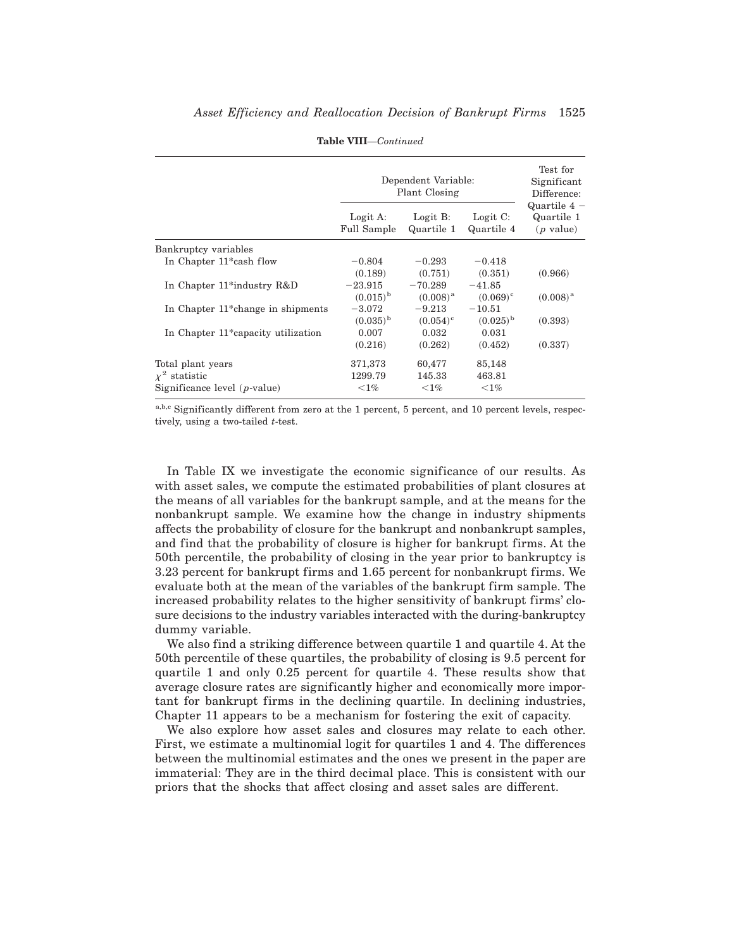|                                                 | Dependent Variable:<br>Plant Closing | Test for<br>Significant<br>Difference: |                           |                                            |
|-------------------------------------------------|--------------------------------------|----------------------------------------|---------------------------|--------------------------------------------|
|                                                 | Logit A:<br><b>Full Sample</b>       | Logit $B$ :<br>Quartile 1              | Logit $C$ :<br>Quartile 4 | Quartile $4-$<br>Quartile 1<br>$(p$ value) |
| Bankruptcy variables                            |                                      |                                        |                           |                                            |
| In Chapter 11 <sup>*</sup> cash flow            | $-0.804$                             | $-0.293$                               | $-0.418$                  |                                            |
|                                                 | (0.189)                              | (0.751)                                | (0.351)                   | (0.966)                                    |
| In Chapter 11*industry R&D                      | $-23.915$                            | $-70.289$                              | $-41.85$                  |                                            |
|                                                 | $(0.015)^{b}$                        | $(0.008)^{a}$                          | $(0.069)^c$               | $(0.008)^{a}$                              |
| In Chapter 11 <sup>*</sup> change in shipments  | $-3.072$                             | $-9.213$                               | $-10.51$                  |                                            |
|                                                 | $(0.035)^{b}$                        | $(0.054)^c$                            | $(0.025)^{b}$             | (0.393)                                    |
| In Chapter 11 <sup>*</sup> capacity utilization | 0.007                                | 0.032                                  | 0.031                     |                                            |
|                                                 | (0.216)                              | (0.262)                                | (0.452)                   | (0.337)                                    |
| Total plant years                               | 371,373                              | 60,477                                 | 85,148                    |                                            |
| $x^2$ statistic                                 | 1299.79                              | 145.33                                 | 463.81                    |                                            |
| Significance level $(p$ -value)                 | ${<}1\%$                             | ${<}1\%$                               | ${<}1\%$                  |                                            |

**Table VIII***—Continued*

a,b,c Significantly different from zero at the 1 percent, 5 percent, and 10 percent levels, respectively, using a two-tailed *t*-test.

In Table IX we investigate the economic significance of our results. As with asset sales, we compute the estimated probabilities of plant closures at the means of all variables for the bankrupt sample, and at the means for the nonbankrupt sample. We examine how the change in industry shipments affects the probability of closure for the bankrupt and nonbankrupt samples, and find that the probability of closure is higher for bankrupt firms. At the 50th percentile, the probability of closing in the year prior to bankruptcy is 3.23 percent for bankrupt firms and 1.65 percent for nonbankrupt firms. We evaluate both at the mean of the variables of the bankrupt firm sample. The increased probability relates to the higher sensitivity of bankrupt firms' closure decisions to the industry variables interacted with the during-bankruptcy dummy variable.

We also find a striking difference between quartile 1 and quartile 4. At the 50th percentile of these quartiles, the probability of closing is 9.5 percent for quartile 1 and only 0.25 percent for quartile 4. These results show that average closure rates are significantly higher and economically more important for bankrupt firms in the declining quartile. In declining industries, Chapter 11 appears to be a mechanism for fostering the exit of capacity.

We also explore how asset sales and closures may relate to each other. First, we estimate a multinomial logit for quartiles 1 and 4. The differences between the multinomial estimates and the ones we present in the paper are immaterial: They are in the third decimal place. This is consistent with our priors that the shocks that affect closing and asset sales are different.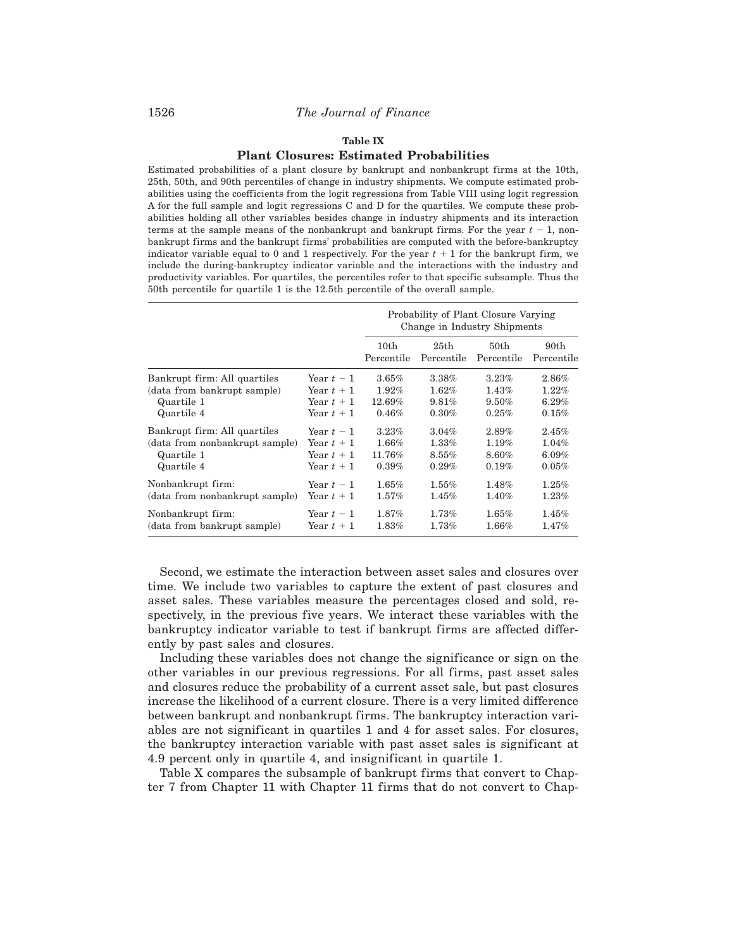#### **Table IX**

### **Plant Closures: Estimated Probabilities**

Estimated probabilities of a plant closure by bankrupt and nonbankrupt firms at the 10th, 25th, 50th, and 90th percentiles of change in industry shipments. We compute estimated probabilities using the coefficients from the logit regressions from Table VIII using logit regression A for the full sample and logit regressions C and D for the quartiles. We compute these probabilities holding all other variables besides change in industry shipments and its interaction terms at the sample means of the nonbankrupt and bankrupt firms. For the year  $t - 1$ , nonbankrupt firms and the bankrupt firms' probabilities are computed with the before-bankruptcy indicator variable equal to 0 and 1 respectively. For the year  $t + 1$  for the bankrupt firm, we include the during-bankruptcy indicator variable and the interactions with the industry and productivity variables. For quartiles, the percentiles refer to that specific subsample. Thus the 50th percentile for quartile 1 is the 12.5th percentile of the overall sample.

|                                |              | Probability of Plant Closure Varying<br>Change in Industry Shipments |                    |                                |                    |  |
|--------------------------------|--------------|----------------------------------------------------------------------|--------------------|--------------------------------|--------------------|--|
|                                |              | 10 <sub>th</sub><br>Percentile                                       | 25th<br>Percentile | 50 <sub>th</sub><br>Percentile | 90th<br>Percentile |  |
| Bankrupt firm: All quartiles   | Year $t-1$   | 3.65%                                                                | 3.38%              | 3.23%                          | 2.86%              |  |
| (data from bankrupt sample)    | Year $t+1$   | 1.92%                                                                | 1.62%              | $1.43\%$                       | $1.22\%$           |  |
| Quartile 1                     | Year $t+1$   | 12.69%                                                               | 9.81%              | $9.50\%$                       | 6.29%              |  |
| Quartile 4                     | Year $t+1$   | 0.46%                                                                | $0.30\%$           | 0.25%                          | 0.15%              |  |
| Bankrupt firm: All quartiles   | Year $t-1$   | 3.23%                                                                | 3.04%              | 2.89%                          | 2.45%              |  |
| (data from nonbankrupt sample) | Year $t+1$   | 1.66%                                                                | $1.33\%$           | 1.19%                          | 1.04%              |  |
| Quartile 1                     | Year $t+1$   | 11.76%                                                               | $8.55\%$           | $8.60\%$                       | $6.09\%$           |  |
| Quartile 4                     | Year $t+1$   | 0.39%                                                                | 0.29%              | 0.19%                          | 0.05%              |  |
| Nonbankrupt firm:              | Year $t-1$   | 1.65%                                                                | $1.55\%$           | 1.48%                          | 1.25%              |  |
| (data from nonbankrupt sample) | Year $t + 1$ | $1.57\%$                                                             | 1.45%              | 1.40%                          | $1.23\%$           |  |
| Nonbankrupt firm:              | Year $t-1$   | $1.87\%$                                                             | 1.73%              | $1.65\%$                       | 1.45%              |  |
| (data from bankrupt sample)    | Year $t+1$   | $1.83\%$                                                             | 1.73%              | $1.66\%$                       | 1.47%              |  |

Second, we estimate the interaction between asset sales and closures over time. We include two variables to capture the extent of past closures and asset sales. These variables measure the percentages closed and sold, respectively, in the previous five years. We interact these variables with the bankruptcy indicator variable to test if bankrupt firms are affected differently by past sales and closures.

Including these variables does not change the significance or sign on the other variables in our previous regressions. For all firms, past asset sales and closures reduce the probability of a current asset sale, but past closures increase the likelihood of a current closure. There is a very limited difference between bankrupt and nonbankrupt firms. The bankruptcy interaction variables are not significant in quartiles 1 and 4 for asset sales. For closures, the bankruptcy interaction variable with past asset sales is significant at 4.9 percent only in quartile 4, and insignificant in quartile 1.

Table X compares the subsample of bankrupt firms that convert to Chapter 7 from Chapter 11 with Chapter 11 firms that do not convert to Chap-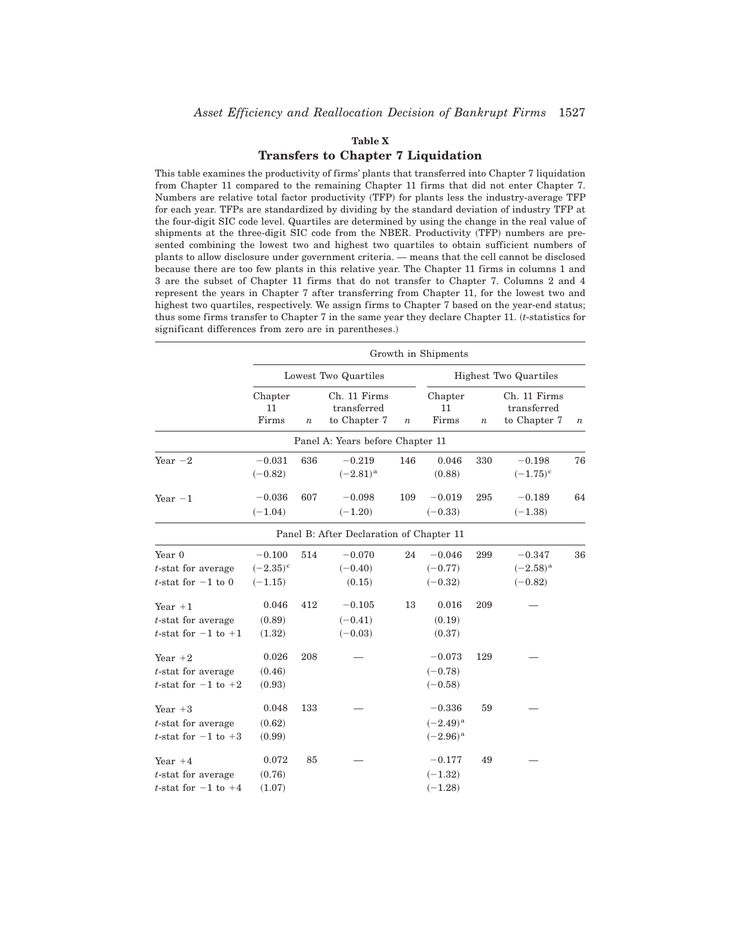### **Table X**

### **Transfers to Chapter 7 Liquidation**

This table examines the productivity of firms' plants that transferred into Chapter 7 liquidation from Chapter 11 compared to the remaining Chapter 11 firms that did not enter Chapter 7. Numbers are relative total factor productivity (TFP) for plants less the industry-average TFP for each year. TFPs are standardized by dividing by the standard deviation of industry TFP at the four-digit SIC code level. Quartiles are determined by using the change in the real value of shipments at the three-digit SIC code from the NBER. Productivity (TFP) numbers are presented combining the lowest two and highest two quartiles to obtain sufficient numbers of plants to allow disclosure under government criteria. — means that the cell cannot be disclosed because there are too few plants in this relative year. The Chapter 11 firms in columns 1 and 3 are the subset of Chapter 11 firms that do not transfer to Chapter 7. Columns 2 and 4 represent the years in Chapter 7 after transferring from Chapter 11, for the lowest two and highest two quartiles, respectively. We assign firms to Chapter 7 based on the year-end status; thus some firms transfer to Chapter  $7$  in the same year they declare Chapter 11.  $(t\text{-statistics for})$ significant differences from zero are in parentheses.)

|                                                                       | Growth in Shipments                        |                  |                                             |                  |                                            |                  |                                             |                  |
|-----------------------------------------------------------------------|--------------------------------------------|------------------|---------------------------------------------|------------------|--------------------------------------------|------------------|---------------------------------------------|------------------|
|                                                                       | Lowest Two Quartiles                       |                  |                                             |                  | <b>Highest Two Quartiles</b>               |                  |                                             |                  |
|                                                                       | Chapter<br>11<br>Firms                     | $\boldsymbol{n}$ | Ch. 11 Firms<br>transferred<br>to Chapter 7 | $\boldsymbol{n}$ | Chapter<br>11<br>Firms                     | $\boldsymbol{n}$ | Ch. 11 Firms<br>transferred<br>to Chapter 7 | $\boldsymbol{n}$ |
|                                                                       |                                            |                  | Panel A: Years before Chapter 11            |                  |                                            |                  |                                             |                  |
| Year $-2$                                                             | $-0.031$<br>$(-0.82)$                      | 636              | $-0.219$<br>$(-2.81)^{a}$                   | 146              | 0.046<br>(0.88)                            | 330              | $-0.198$<br>$(-1.75)^{\circ}$               | 76               |
| Year $-1$                                                             | $-0.036$<br>$(-1.04)$                      | 607              | $-0.098$<br>$(-1.20)$                       | 109              | $-0.019$<br>$(-0.33)$                      | 295              | $-0.189$<br>$(-1.38)$                       | 64               |
|                                                                       |                                            |                  | Panel B: After Declaration of Chapter 11    |                  |                                            |                  |                                             |                  |
| Year <sub>0</sub><br>$t$ -stat for average<br>t-stat for $-1$ to 0    | $-0.100$<br>$(-2.35)^{\circ}$<br>$(-1.15)$ | 514              | $-0.070$<br>$(-0.40)$<br>(0.15)             | 24               | $-0.046$<br>$(-0.77)$<br>$(-0.32)$         | 299              | $-0.347$<br>$(-2.58)^{a}$<br>$(-0.82)$      | 36               |
| Year $+1$<br>$t$ -stat for average<br>t-stat for $-1$ to $+1$         | 0.046<br>(0.89)<br>(1.32)                  | 412              | $-0.105$<br>$(-0.41)$<br>$(-0.03)$          | 13               | 0.016<br>(0.19)<br>(0.37)                  | 209              |                                             |                  |
| Year $+2$<br>$t$ -stat for average<br>t-stat for $-1$ to $+2$         | 0.026<br>(0.46)<br>(0.93)                  | 208              |                                             |                  | $-0.073$<br>$(-0.78)$<br>$(-0.58)$         | 129              |                                             |                  |
| Year $+3$<br>$t$ -stat for average<br><i>t</i> -stat for $-1$ to $+3$ | 0.048<br>(0.62)<br>(0.99)                  | 133              |                                             |                  | $-0.336$<br>$(-2.49)^{a}$<br>$(-2.96)^{a}$ | 59               |                                             |                  |
| Year $+4$<br>$t$ -stat for average<br>t-stat for $-1$ to $+4$         | 0.072<br>(0.76)<br>(1.07)                  | 85               |                                             |                  | $-0.177$<br>$(-1.32)$<br>$(-1.28)$         | 49               |                                             |                  |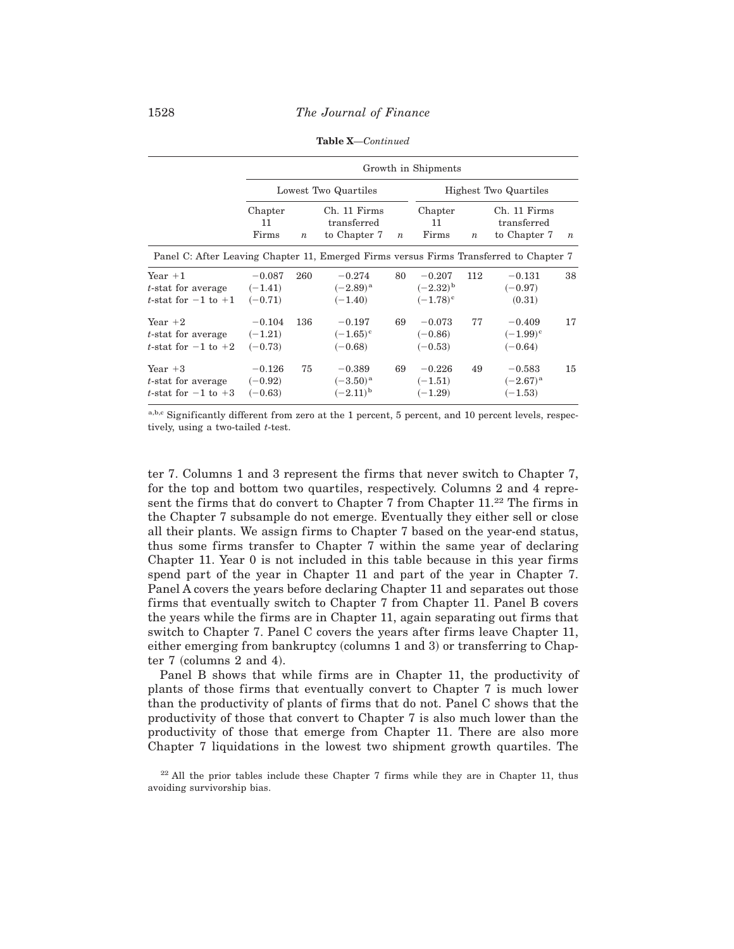|                                                                                        | Growth in Shipments                |                  |                                             |                  |                                          |                  |                                             |                  |
|----------------------------------------------------------------------------------------|------------------------------------|------------------|---------------------------------------------|------------------|------------------------------------------|------------------|---------------------------------------------|------------------|
|                                                                                        | Lowest Two Quartiles               |                  |                                             |                  | <b>Highest Two Quartiles</b>             |                  |                                             |                  |
|                                                                                        | Chapter<br>11<br>Firms             | $\boldsymbol{n}$ | Ch. 11 Firms<br>transferred<br>to Chapter 7 | $\boldsymbol{n}$ | Chapter<br>11<br>Firms                   | $\boldsymbol{n}$ | Ch. 11 Firms<br>transferred<br>to Chapter 7 | $\boldsymbol{n}$ |
| Panel C: After Leaving Chapter 11, Emerged Firms versus Firms Transferred to Chapter 7 |                                    |                  |                                             |                  |                                          |                  |                                             |                  |
| $Year +1$<br><i>t</i> -stat for average $(-1.41)$<br><i>t</i> -stat for $-1$ to $+1$   | $-0.087$<br>$(-0.71)$              | 260              | $-0.274$<br>$(-2.89)^{a}$<br>$(-1.40)$      | 80               | $-0.207$<br>$(-2.32)^{b}$<br>$(-1.78)^c$ | 112              | $-0.131$<br>$(-0.97)$<br>(0.31)             | 38               |
| Year $+2$<br>$t$ -stat for average<br><i>t</i> -stat for $-1$ to $+2$                  | $-0.104$<br>$(-1.21)$<br>$(-0.73)$ | 136              | $-0.197$<br>$(-1.65)^c$<br>$(-0.68)$        | 69               | $-0.073$<br>$(-0.86)$<br>$(-0.53)$       | 77               | $-0.409$<br>$(-1.99)^c$<br>$(-0.64)$        | 17               |
| Year $+3$<br>$t$ -stat for average<br><i>t</i> -stat for $-1$ to $+3$                  | $-0.126$<br>$(-0.92)$<br>$(-0.63)$ | 75               | $-0.389$<br>$(-3.50)^{a}$<br>$(-2.11)^{b}$  | 69               | $-0.226$<br>$(-1.51)$<br>$(-1.29)$       | 49               | $-0.583$<br>$(-2.67)^{a}$<br>$(-1.53)$      | 15               |

**Table X***—Continued*

a,b,c Significantly different from zero at the 1 percent, 5 percent, and 10 percent levels, respectively, using a two-tailed *t*-test.

ter 7. Columns 1 and 3 represent the firms that never switch to Chapter 7, for the top and bottom two quartiles, respectively. Columns 2 and 4 represent the firms that do convert to Chapter 7 from Chapter 11.22 The firms in the Chapter 7 subsample do not emerge. Eventually they either sell or close all their plants. We assign firms to Chapter 7 based on the year-end status, thus some firms transfer to Chapter 7 within the same year of declaring Chapter 11. Year 0 is not included in this table because in this year firms spend part of the year in Chapter 11 and part of the year in Chapter 7. Panel A covers the years before declaring Chapter 11 and separates out those firms that eventually switch to Chapter 7 from Chapter 11. Panel B covers the years while the firms are in Chapter 11, again separating out firms that switch to Chapter 7. Panel C covers the years after firms leave Chapter 11, either emerging from bankruptcy (columns  $1$  and  $3$ ) or transferring to Chapter  $7$  (columns  $2$  and  $4$ ).

Panel B shows that while firms are in Chapter 11, the productivity of plants of those firms that eventually convert to Chapter 7 is much lower than the productivity of plants of firms that do not. Panel C shows that the productivity of those that convert to Chapter 7 is also much lower than the productivity of those that emerge from Chapter 11. There are also more Chapter 7 liquidations in the lowest two shipment growth quartiles. The

 $22$  All the prior tables include these Chapter 7 firms while they are in Chapter 11, thus avoiding survivorship bias.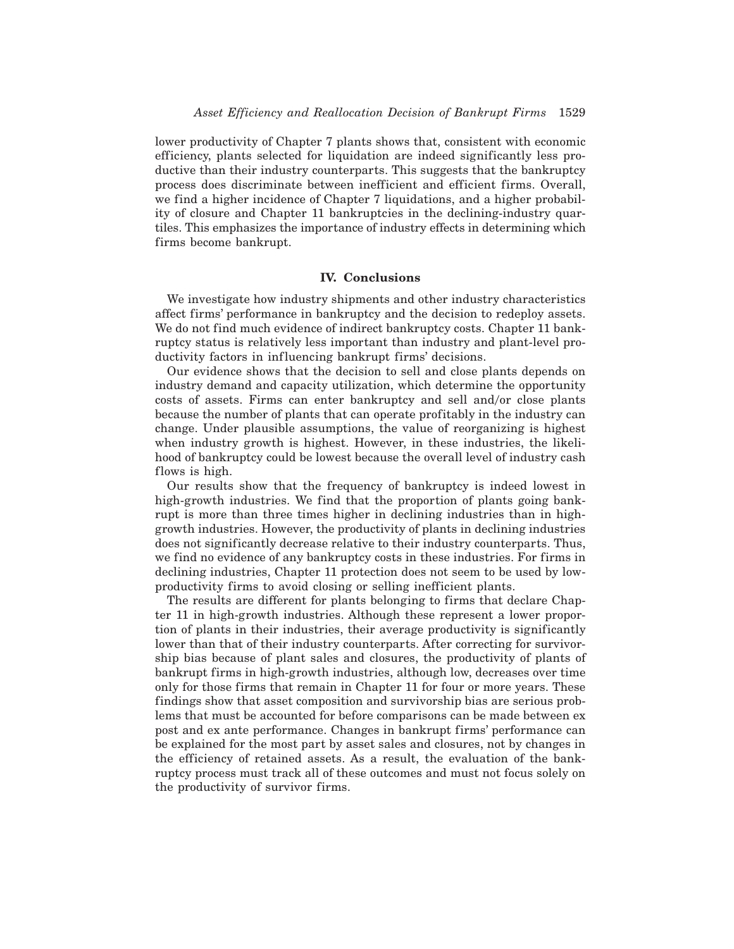lower productivity of Chapter 7 plants shows that, consistent with economic efficiency, plants selected for liquidation are indeed significantly less productive than their industry counterparts. This suggests that the bankruptcy process does discriminate between inefficient and efficient firms. Overall, we find a higher incidence of Chapter 7 liquidations, and a higher probability of closure and Chapter 11 bankruptcies in the declining-industry quartiles. This emphasizes the importance of industry effects in determining which firms become bankrupt.

### **IV. Conclusions**

We investigate how industry shipments and other industry characteristics affect firms' performance in bankruptcy and the decision to redeploy assets. We do not find much evidence of indirect bankruptcy costs. Chapter 11 bankruptcy status is relatively less important than industry and plant-level productivity factors in influencing bankrupt firms' decisions.

Our evidence shows that the decision to sell and close plants depends on industry demand and capacity utilization, which determine the opportunity costs of assets. Firms can enter bankruptcy and sell and/or close plants because the number of plants that can operate profitably in the industry can change. Under plausible assumptions, the value of reorganizing is highest when industry growth is highest. However, in these industries, the likelihood of bankruptcy could be lowest because the overall level of industry cash flows is high.

Our results show that the frequency of bankruptcy is indeed lowest in high-growth industries. We find that the proportion of plants going bankrupt is more than three times higher in declining industries than in highgrowth industries. However, the productivity of plants in declining industries does not significantly decrease relative to their industry counterparts. Thus, we find no evidence of any bankruptcy costs in these industries. For firms in declining industries, Chapter 11 protection does not seem to be used by lowproductivity firms to avoid closing or selling inefficient plants.

The results are different for plants belonging to firms that declare Chapter 11 in high-growth industries. Although these represent a lower proportion of plants in their industries, their average productivity is significantly lower than that of their industry counterparts. After correcting for survivorship bias because of plant sales and closures, the productivity of plants of bankrupt firms in high-growth industries, although low, decreases over time only for those firms that remain in Chapter 11 for four or more years. These findings show that asset composition and survivorship bias are serious problems that must be accounted for before comparisons can be made between ex post and ex ante performance. Changes in bankrupt firms' performance can be explained for the most part by asset sales and closures, not by changes in the efficiency of retained assets. As a result, the evaluation of the bankruptcy process must track all of these outcomes and must not focus solely on the productivity of survivor firms.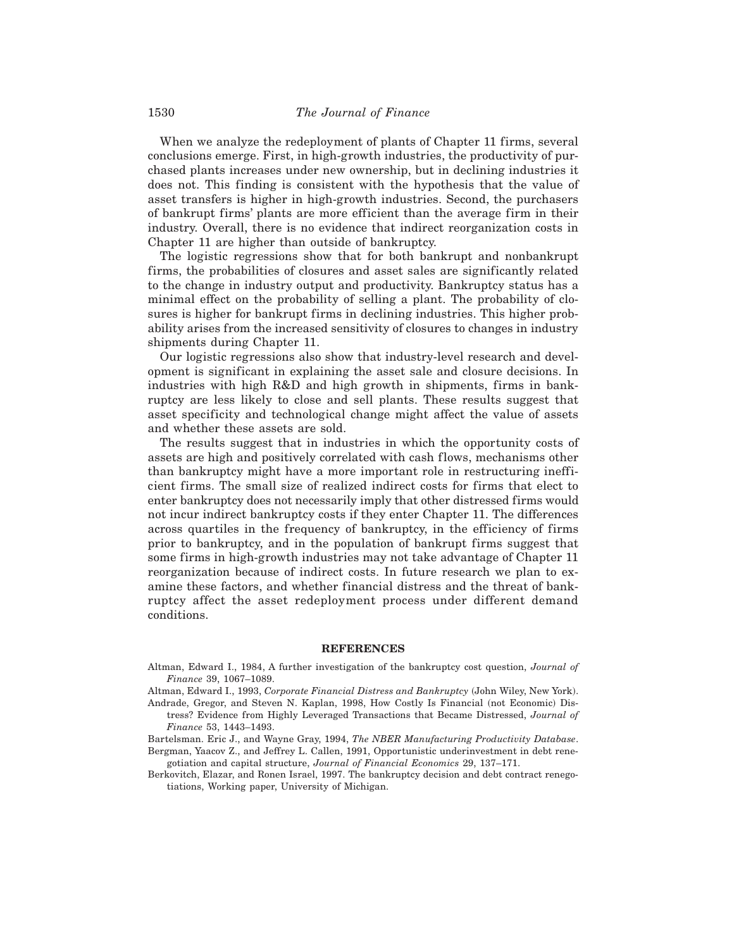When we analyze the redeployment of plants of Chapter 11 firms, several conclusions emerge. First, in high-growth industries, the productivity of purchased plants increases under new ownership, but in declining industries it does not. This finding is consistent with the hypothesis that the value of asset transfers is higher in high-growth industries. Second, the purchasers of bankrupt firms' plants are more efficient than the average firm in their industry. Overall, there is no evidence that indirect reorganization costs in Chapter 11 are higher than outside of bankruptcy.

The logistic regressions show that for both bankrupt and nonbankrupt firms, the probabilities of closures and asset sales are significantly related to the change in industry output and productivity. Bankruptcy status has a minimal effect on the probability of selling a plant. The probability of closures is higher for bankrupt firms in declining industries. This higher probability arises from the increased sensitivity of closures to changes in industry shipments during Chapter 11.

Our logistic regressions also show that industry-level research and development is significant in explaining the asset sale and closure decisions. In industries with high R&D and high growth in shipments, firms in bankruptcy are less likely to close and sell plants. These results suggest that asset specificity and technological change might affect the value of assets and whether these assets are sold.

The results suggest that in industries in which the opportunity costs of assets are high and positively correlated with cash flows, mechanisms other than bankruptcy might have a more important role in restructuring inefficient firms. The small size of realized indirect costs for firms that elect to enter bankruptcy does not necessarily imply that other distressed firms would not incur indirect bankruptcy costs if they enter Chapter 11. The differences across quartiles in the frequency of bankruptcy, in the efficiency of firms prior to bankruptcy, and in the population of bankrupt firms suggest that some firms in high-growth industries may not take advantage of Chapter 11 reorganization because of indirect costs. In future research we plan to examine these factors, and whether financial distress and the threat of bankruptcy affect the asset redeployment process under different demand conditions.

#### **REFERENCES**

Altman, Edward I., 1984, A further investigation of the bankruptcy cost question, *Journal of Finance* 39, 1067–1089.

Altman, Edward I., 1993, *Corporate Financial Distress and Bankruptcy* (John Wiley, New York).

- Andrade, Gregor, and Steven N. Kaplan, 1998, How Costly Is Financial (not Economic) Distress? Evidence from Highly Leveraged Transactions that Became Distressed, *Journal of Finance* 53, 1443–1493.
- Bartelsman. Eric J., and Wayne Gray, 1994, *The NBER Manufacturing Productivity Database*.
- Bergman, Yaacov Z., and Jeffrey L. Callen, 1991, Opportunistic underinvestment in debt renegotiation and capital structure, *Journal of Financial Economics* 29, 137–171.
- Berkovitch, Elazar, and Ronen Israel, 1997. The bankruptcy decision and debt contract renegotiations, Working paper, University of Michigan.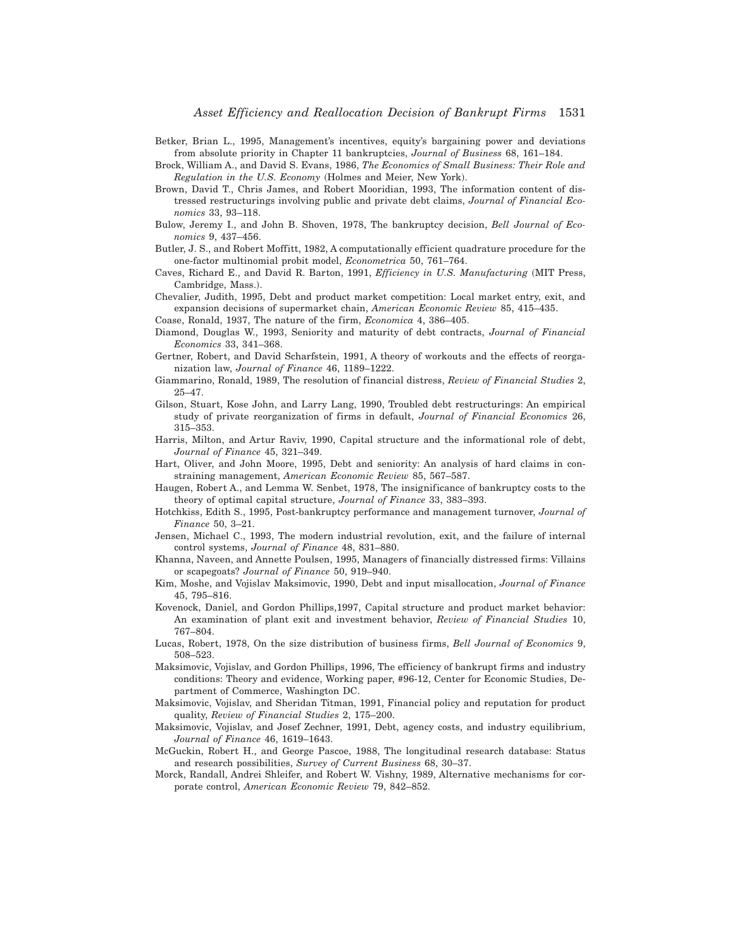- Betker, Brian L., 1995, Management's incentives, equity's bargaining power and deviations from absolute priority in Chapter 11 bankruptcies, *Journal of Business* 68, 161–184.
- Brock, William A., and David S. Evans, 1986, *The Economics of Small Business: Their Role and Regulation in the U.S. Economy* (Holmes and Meier, New York).
- Brown, David T., Chris James, and Robert Mooridian, 1993, The information content of distressed restructurings involving public and private debt claims, *Journal of Financial Economics* 33, 93–118.
- Bulow, Jeremy I., and John B. Shoven, 1978, The bankruptcy decision, *Bell Journal of Economics* 9, 437–456.
- Butler, J. S., and Robert Moffitt, 1982, A computationally efficient quadrature procedure for the one-factor multinomial probit model, *Econometrica* 50, 761–764.
- Caves, Richard E., and David R. Barton, 1991, *Efficiency in U.S. Manufacturing* (MIT Press, Cambridge, Mass.).
- Chevalier, Judith, 1995, Debt and product market competition: Local market entry, exit, and expansion decisions of supermarket chain, *American Economic Review* 85, 415–435.
- Coase, Ronald, 1937, The nature of the firm, *Economica* 4, 386–405.
- Diamond, Douglas W., 1993, Seniority and maturity of debt contracts, *Journal of Financial Economics* 33, 341–368.
- Gertner, Robert, and David Scharfstein, 1991, A theory of workouts and the effects of reorganization law, *Journal of Finance* 46, 1189–1222.
- Giammarino, Ronald, 1989, The resolution of financial distress, *Review of Financial Studies* 2, 25–47.
- Gilson, Stuart, Kose John, and Larry Lang, 1990, Troubled debt restructurings: An empirical study of private reorganization of firms in default, *Journal of Financial Economics* 26, 315–353.
- Harris, Milton, and Artur Raviv, 1990, Capital structure and the informational role of debt, *Journal of Finance* 45, 321–349.
- Hart, Oliver, and John Moore, 1995, Debt and seniority: An analysis of hard claims in constraining management, *American Economic Review* 85, 567–587.
- Haugen, Robert A., and Lemma W. Senbet, 1978, The insignificance of bankruptcy costs to the theory of optimal capital structure, *Journal of Finance* 33, 383–393.
- Hotchkiss, Edith S., 1995, Post-bankruptcy performance and management turnover, *Journal of Finance* 50, 3–21.
- Jensen, Michael C., 1993, The modern industrial revolution, exit, and the failure of internal control systems, *Journal of Finance* 48, 831–880.
- Khanna, Naveen, and Annette Poulsen, 1995, Managers of financially distressed firms: Villains or scapegoats? *Journal of Finance* 50, 919–940.
- Kim, Moshe, and Vojislav Maksimovic, 1990, Debt and input misallocation, *Journal of Finance* 45, 795–816.
- Kovenock, Daniel, and Gordon Phillips,1997, Capital structure and product market behavior: An examination of plant exit and investment behavior, *Review of Financial Studies* 10, 767–804.
- Lucas, Robert, 1978, On the size distribution of business firms, *Bell Journal of Economics* 9, 508–523.
- Maksimovic, Vojislav, and Gordon Phillips, 1996, The efficiency of bankrupt firms and industry conditions: Theory and evidence, Working paper, #96-12, Center for Economic Studies, Department of Commerce, Washington DC.
- Maksimovic, Vojislav, and Sheridan Titman, 1991, Financial policy and reputation for product quality, *Review of Financial Studies* 2, 175–200.
- Maksimovic, Vojislav, and Josef Zechner, 1991, Debt, agency costs, and industry equilibrium, *Journal of Finance* 46, 1619–1643.
- McGuckin, Robert H., and George Pascoe, 1988, The longitudinal research database: Status and research possibilities, *Survey of Current Business* 68, 30–37.
- Morck, Randall, Andrei Shleifer, and Robert W. Vishny, 1989, Alternative mechanisms for corporate control, *American Economic Review* 79, 842–852.